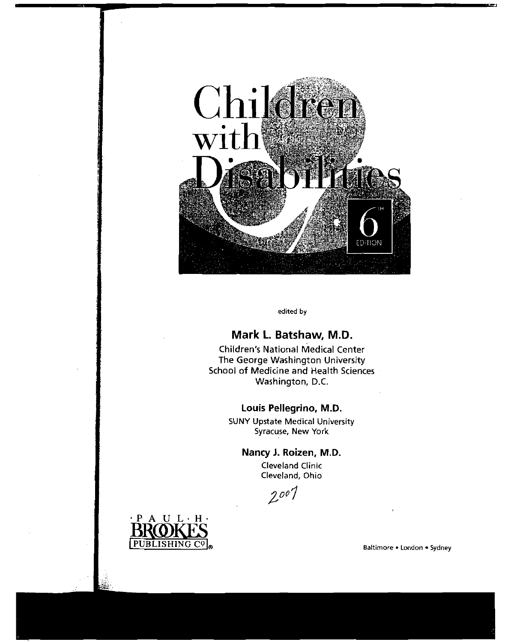

**edited by** 

## **Mark L. Batshaw, M.D.**

**Children's National Medical Center The George Washington University School of Medicine and Health Sciences Washington, D.C.** 

## **Louis Pellegrino, M.D.**

**SUNY Upstate Medical University Syracuse, New York** 

**Nancy J. Roizen, M.D.** 

**Cleveland Clinic Cleveland,** Ohio

 $2007$ 



**Baltimore • London • Sydney** 

 $\overline{r}$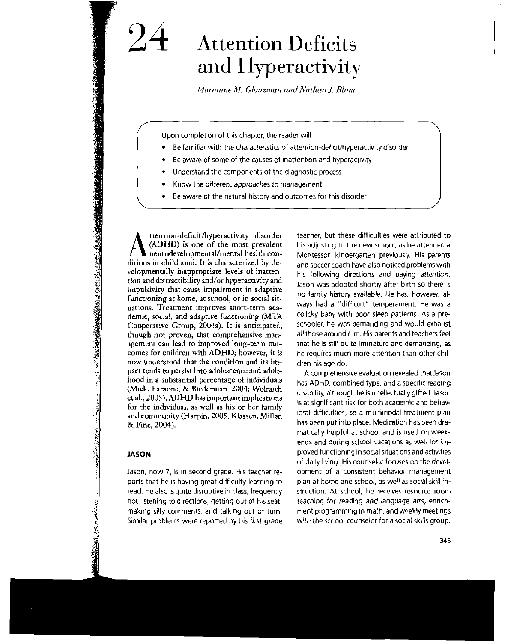# **Attention Deficits** and Hyperactivity

*hi'an'nrrne* **Al.** *Clanzrnun* **and** *ninthan* **J. H/UNI** 

Upon completion of this chapter, the reader will

- Be familiar with the characteristics of attention-deficit/hyperactivity disorder
- Be aware of some of the causes of inattention and hyperactivity
- Understand the components of the diagnostic process
- Know the different approaches to management
- I Be aware of the natural history and outcomes for this disorder *<sup>I</sup>*

**ttention-deficit/hyperactivity disorder** (ADHD) is one of the most prevalent neurodevelopmental/mental health conditions in childhood. It is characterized by deeurodevelopmentaVmental health convelopmentally inappropriate levels of inattention and distractibility and/or hyperactivity and impulsivity that cause impairment in adaptive functioning at home, at school, or in social situations. Treatment improves short-term academic, social, and adaptive functioning (MTA Cooperative Group, 2004a). It is anticipated, though not proven, that comprehensive management can lead to improved long-term outcomes for children with **ADHD;** however, it is now understood that the condition and its impact tends to persist into adolescenceand adulthood in a substantial percentage of individuals **(Mick,** Faraone, & Biederman, **2004;** Wolraich et al., **2005). ADHD** has important implications for the individual, as well as his or her family and community (Harpin, **2005;** Klasscn, Miller, & Fine, **2004).** 

#### **JASON**

Jason, now 7, is in second grade. His teacher reports that he is having great difficulty learning to read. He also is quite disruptive in class, frequently not listening todirections, getting out of hisseat. making silly comments, and talking out of turn. Similar problems were reported by his first grade teacher, but these difficulties were attributed to his adjusting to the new school, as he attended a Montessori kindergarten previously. His parents and soccer coach have also noticed problems with his following directions and paylng attention. Jason was adopted shortly after birth so there is no family history available. He has, however, always had a "difficult" temperament. He was a colicky baby with poor sleep patterns. As a preschooler, he was demanding and would exhaust all those around him. His parents and teachers feel that he is still quite immature and demanding, as he requires much more attention than other children his age do.

A comprehensive evaluation revealed that Jason has ADHD, combined type, and a specific reading disability, although he is intellectually gifted. Jason is at significant risk for both academic and behavioral difficulties, so a multimodal treatment plan has been put into place. Medication has been dramatically helpful at school and is used on weekends and during school vacations as well for improved functioning in social situations and activities of daily living. Hiscounselor focuses on the development of a consistent behavior management plan at home and school, as well as soclal skill instruction. At school, he receives resource room teaching for reading and language arts, enrichment programming in math, and weekly meetings with the school counselor for a social skills group.

345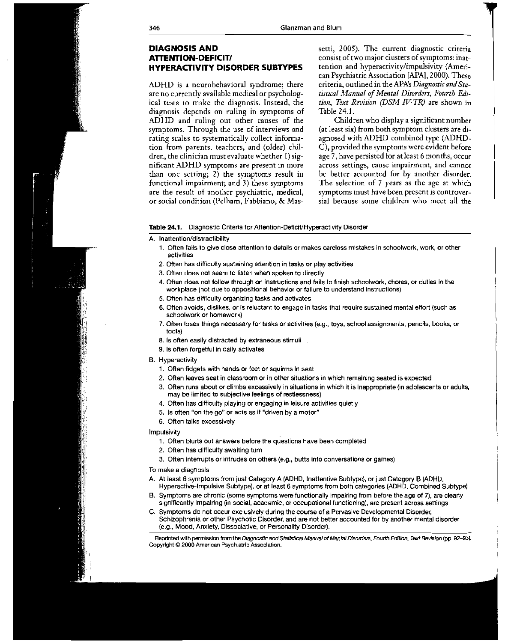# **HYPERACTIVITY DISORDER SUBTYPES**

arc no currently available medical or psycholog-<br>*ical tests to make the diagnosis*. Instead, the diagnosis depends on ruling in symptoms of Table 24.1.<br>ADHD and ruling out other causes of the Children who display a significant number ADHD and ruling out other causes of the Children who display a significant number<br>symptoms. Through the use of interviews and (at least six) from both symptom clusters are disymptoms. Through the use of interviews and (at least six) from both symptom clusters are di-<br>rating scales to systematically collect informa-<br>agnosed with ADHD combined type (ADHDrating scales to systematically collect informa-<br>tion from parents, teachers, and (older) chil-<br>C), provided the symptoms were evident before tion from parents, teachers, and (older) chil- $\overline{C}$ ), provided the symptoms were evident before dren, the clinician must evaluate whether 1) sig- $\overline{C}$  age 7, have persisted for at least 6 months, occur dren, the clinician must evaluate whether 1) sig-<br>
nificant ADHD symptoms are present in more<br>
across settings, cause impairment, and cannot nificant ADHD symptoms are present in more across settings, cause impairment, and cannot than one setting; 2) the symptoms result in be better accounted for by another disorder. than one setting; 2) the symptoms result in be better accounted for by another disorder.<br>functional impairment; and 3) these symptoms The selection of 7 years as the age at which functional impairment; and **3)** these symptoms The selection of 7 years as the age at which are the result of another psychiatric, medical, or social condition (Pelham, Fabbiano, & Mas-

**DIAGNOSIS AND** setti, 2005). The current diagnostic criteria<br>**ATTENTION-DEFICIT/** consist of two major clusters of symptoms: inatconsist of two major clusters of symptoms: inat-<br>tention and hyperactivity/impulsivity (American Psychiatric Association [APA], 2000). These<br>criteria, outlined in the APA's Diagnostic and Sta-ADHD is a neurobehavioral syndrome; there criteria, outlined in the APA's *Diagnostic and Sta-*<br>arc no currently available medical or psycholog-<br>tistical Manual of Mental Disorders, Fourth Ediion, Text Revision (DSM-IV-TR) are shown in Table 24.1.

sial because some children who meet all the

I

i

#### Table 24.1. Diagnostic Criteria for **Attention-DeficiVHyperactivify** Disorder

A. **InattentiorVdistractibility** 

- **1.** Oflen fails to give close attention to details or makes careless mistakes in schoolwork, work, or other activities
- 2. Often has difficulty sustaining attention in tasks or play activities
- 3. Often does not seem to listen when spoken to directly
- 4. Often does not follow through on instructions and fails to finish schoolwork, chores, or duties in the workplace (not due to oppositional behavior or failure to understand instructions)
- 5. Often has difficulty organizing tasks and activates
- 6. Often avoids, dislikes, or is reluctant to engage in tasks that require sustained mental effort (such as schoolwork or homework)
- 7. Often loses things necessary for tasks or activities (e.g., toys, school assignments, pencils, books, or tools)
- 8. Is often easily distracted by extraneous stimuli
- 9. Is often forgetful in daily activates
- **B.** Hyperactivity
	- 1. Often fidgets with hands or feet or squirms in seat
	- 2. Often leaves seat in classroom or in other situations in which remaining seated is expected
	- 3. Often runs about or climbs excessively in situations in which it is inappropriate (in adolescents or adults, may be limited to subjective feelings of restlessness)
	- 4. Often has difficulty playing or engaging in leisure activities quietly
	- 5. IS often "on the go" or acts as if 'driven by a motor"
	- 6. Often talks excessively

Impulsivity

- 1. Often blurts out answers before the questions have been completed
- 2. Often has difficulty awaiting turn
- 3. Often interrupts or intrudes on others (e.g., butts into conversations or games)
- To make a diagnosis
- A. At least 6 symptoms from just Category A (ADHD, Inattentive Subtype), or just Category **B** (ADHD. Hyperactive-impulsive Subtype), or at least 6 symptoms from both categories (ADHD, Combined Subtype)
- **B.** Symptoms are chronic (some symptoms were functionally impairing horn before the age of **7).** are cleady significantly impairing (in social, academic, or occupational functioning), are present across settings
- C. Symptoms do not occur exclusively during the course of a Pervasive Developmental Disorder, Schizophrenia or other Psychotic Disorder, and are not better accounted for by another mental disorder (e.g., Mood, Anxiety. Dissociative, or Personality Disorder).

**Repinted** with permission horn the **C?agnoslicandShlktkal ManualofMenhI hsordm, Foudh Edilim, Text Ravkion (pp.** 92-93]. ! Copyright © 2000 American Psychiatric Association.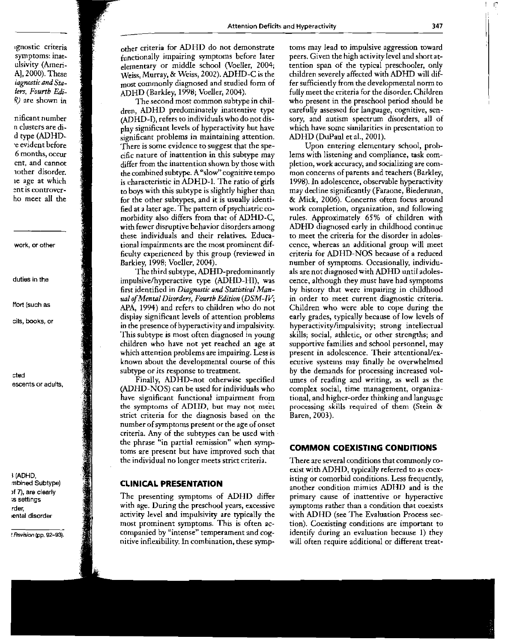gnostic criteria symptoms: inatulsivity (Ameri-A], 2000). These iagnostic and Stalers, Fourth Edi- $R$ ) are shown in

nificant number n clusters are did type (ADHDe evident before 6 months, occur ent, and cannot nother disorder. ie age at which ent is controverho meet all the

work, or other

duties in the

flort (such as

cils, books, or

cted escents or adults,

3 (ADHD, mbined Subtype) of 7), are clearly is settings rder. iental disorder

t Revision (pp. 92-93).

other criteria for ADHD do not demonstrate functionally impairing symptoms before later elementary or middle school (Voeller, 2004; Weiss, Murray, & Weiss, 2002). ADHD-C is the most commonly diagnosed and studied form of ADHD (Barkley, 1998; Voeller, 2004).

The second most common subtype in children. ADHD predominately inattentive type (ADHD-I), refers to individuals who do not display significant levels of hyperactivity but have significant problems in maintaining attention. There is some evidence to suggest that the specific nature of inattention in this subtype may differ from the inattention shown by those with the combined subtype. A "slow" cognitive tempo is characteristic in ADHD-1. The ratio of girls to boys with this subtype is slightly higher than for the other subtypes, and it is usually identified at a later age. The pattern of psychiatric comorbidity also differs from that of ADHD-C, with fewer disruptive behavior disorders among these individuals and their relatives. Educational impairments are the most prominent difficulty experienced by this group (reviewed in Barkley, 1998; Voeller, 2004).

The third subtype, ADHD-predominantly impulsive/hyperactive type (ADHD-HI), was first identified in Diagnostic and Statistical Manual of Mental Disorders, Fourth Edition (DSM-IV; APA, 1994) and refers to children who do not display significant levels of attention problems in the presence of hyperactivity and impulsivity. This subtype is most often diagnosed in young children who have not yet reached an age at which attention problems are impairing. Less is known about the developmental course of this subtype or its response to treatment.

Finally, ADHD-not otherwise specified (ADHD-NOS) can be used for individuals who have significant functional impairment from the symptoms of ADHD, but may not meet strict criteria for the diagnosis based on the number of symptoms present or the age of onset criteria. Any of the subtypes can be used with the phrase "in partial remission" when symptoms are present but have improved such that the individual no longer meets strict criteria.

#### **CLINICAL PRESENTATION**

The presenting symptoms of ADHD differ with age. During the preschool years, excessive activity level and impulsivity are typically the most prominent symptoms. This is often accompanied by "intense" temperament and cognitive inflexibility. In combination, these symp-

toms may lead to impulsive aggression toward peers. Given the high activity level and short attention span of the typical preschooler, only children severely affected with ADHD will differ sufficiently from the developmental norm to fully meet the criteria for the disorder. Children who present in the preschool period should be carefully assessed for language, cognitive, sensory, and autism spectrum disorders, all of which have some similarities in presentation to ADHD (DuPaul et al., 2001).

Upon entering elementary school, problems with listening and compliance, task completion, work accuracy, and socializing are common concerns of parents and teachers (Barkley, 1998). In adolescence, observable hyperactivity may decline significantly (Faraone, Biederman, & Mick, 2006). Concerns often focus around work completion, organization, and following rules. Approximately 65% of children with ADHD diagnosed early in childhood continue to meet the criteria for the disorder in adolescence, whereas an additional group will meet criteria for ADHD-NOS because of a reduced number of symptoms. Occasionally, individuals are not diagnosed with ADHD until adolescence, although they must have had symptoms by history that were impairing in childhood in order to meet current diagnostic criteria. Children who were able to cope during the early grades, typically because of low levels of hyperactivity/impulsivity; strong intellectual skills; social, athletic, or other strengths; and supportive families and school personnel, may present in adolescence. Their attentional/executive systems may finally be overwhelmed by the demands for processing increased volumes of reading and writing, as well as the complex social, time management, organizational, and higher-order thinking and language processing skills required of them (Stein & Baren, 2003).

#### **COMMON COEXISTING CONDITIONS**

There are several conditions that commonly coexist with ADHD, typically referred to as coexisting or comorbid conditions. Less frequently, another condition mimics ADHD and is the primary cause of inattentive or hyperactive symptoms rather than a condition that coexists with ADHD (see The Evaluation Process section). Coexisting conditions are important to identify during an evaluation because 1) they will often require additional or different treat-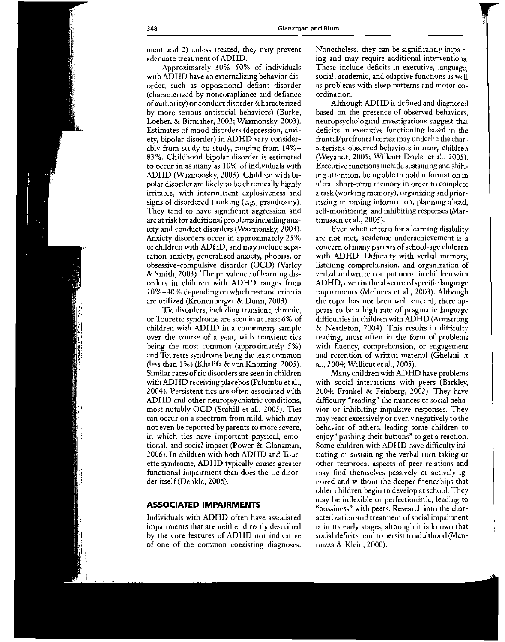

ment and 2) unless treated, they may prevent adequate treament of ADHD.

Approximately 30%-50% of individuals with ADHD have an externalizing behavior disorder, such as oppositional defiant disorder (characterized by noncompliance and defiance of authority) or conduct disorder (characterized by more serious antisocial behaviors) (Burke, Loeber, & Birmaher, 2002; Waxmonsky, 2003). Estimates of mood disorders (depression, anxiety, bipolar disorder) in ADHD vary considerably from study to study, ranging from 14%- 83%. Childhood bipolar disorder is estimated to occur in as many as 10% of individuals with ADHD (Waxmonsky, 2003). Children with bipolar disorder are likely to be chronically highly irritable, with intermittent explosiveness and signs of disordered thinking (e.g., grandiosity). They tend to have significant aggression and are at risk for additional problems including anxiety and conduct disorders (Waxmonsky, 2003). Anxiety disorders occur in approximately 25% of children with ADHD, and may include separation anxiety, generalized anxiety, phobias, or obsessive-compulsive disorder (OCD) (Varley & Smith, 2003). The prevalence of learning disorders in children with ADHD ranges from 10%-40% depending on which test and criteria are utilized (Kronenberger & Dunn, 2003).

Tic disorders, including transient, chronic, or Tourette syndrome are seen in at least 6% of children with ADHD in a community sample over the course of a year, with transient tics being the most common (approximately 5%) and Tourette syndrome being the least common (less than 1%) (Khalifa & von Knorring, 2005). Similar rates of tic disorders are seen in children with ADHD receiving plaeebos (Palumbo et al., 2004). Persistent tics are often associated with ADHD and other neuropsychiatric conditions, most notably OCD (Scahill et al., 2005). Ties can occur on a spectrum from mild, which may not even be reported by parents to more severe, in which tics have important physical, emotional, and social impact (Power & Glanzman, 2006). In children with both ADHD and Tourette syndrome, ADHD typically causes greater functional impairment than does the tic disorder itself (Denkla, 2006).

#### **ASSOCIATED IMPAIRMENTS**

Individuals with ADHD often have associated impairments that are neither directly described by the core features of ADHD nor indicative of one of the common coexisting diagnoses.

Nonetheless, they can be significantly impairing and may require additional interventions. These include deficits in executive, language, social, academic, and adaptive functions as well as problems with sleep patterns and motor coordination.

Although ADHD is defined and diagnosed based on the presence of observed behaviors, neuropsychological investigations suggest that deficits in executive functioning based in the frontaVprefrontal cortex may underlie the characteristic observed behaviors in many children (Weyandt, 2005; Willcutt Doyle, et al., 2005). Executive functions include sustaining and sbifting attention, being able to hold information in ultra-short-term mernorv in order to colnplete a task (working memory), organizing and prioritizing incoming information, planning ahead, self-monitoring, and inhibiting responses (Martinussen et al., 2005).

Even when criteria for a learning disability are not met, academic underachievement is a concern ofmany parents of school-age children with ADHD. Difficulty with verbal memory, listening comprehension, and organization of verbal and written output occur in children with ADHD, even in the absence ofspecific language impairments (McInnes et al., 2003). Although the topic has not been well studied, there appears to be a high rate of pragmatic language difficulties in children with ADHD (Armstrong & Nettleton, 2004). This results in difficulty reading, most often in the form of problems with fluency, comprehension, or engagement and retention of written material (Ghelani et al., 2004; WiUicut et al., 2005).

Many children with ADHD have problems with social interactions with peers (Barkley, 2004; Frankel & Feinberg, 2002). They have difficulty "reading" the nuances of social behavior or inhibiting impulsive responses. They may react excessively or overly negatively to the behavior of others, leading some children to enjoy "pushing their buttons" to get a reaction. Some children with ADHD have difficulty initiating or sustaining the verbal turn taking or other reciprocal aspects of peer relations and may find themselves passively or actively ignored and without the deeper friendships that older children begin to develop at school. They may be inflexible or perfectionistic, leading to 'bossiness" with peers. Research into the characterization and treatment of social impairment is in its early stages, although it is known that social deficits tend to persist to adulthood (Mannuzza & Klein, 2000).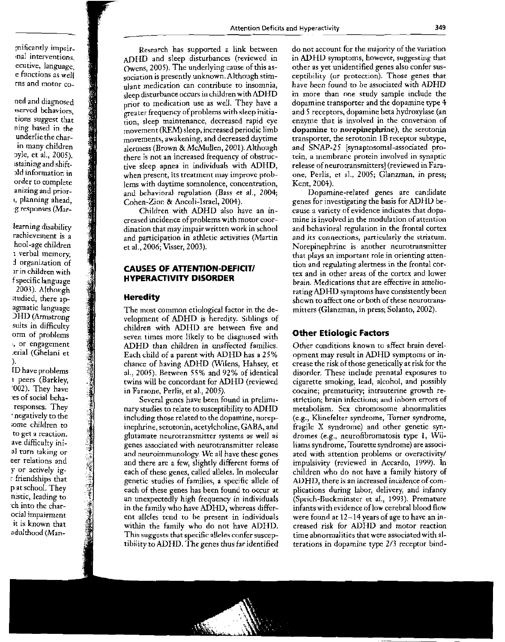mificantly impair. nal interventions. ecutive, language. e functions as well rns and motor co-

ned and diagnosed served behaviors. tions suggest that ning based in the underlie the charin many children pyle, et al., 2005). istaining and shiftold information in order to complete anizing and prior-<sup>1</sup>, planning ahead, g responses (Mar-

learning disability rachievement is a hool-age children 1 verbal memory. d organization of ur in children with f specific language 2003). Although studied, there apagmatic language **DHD** (Armstrong sults in difficulty orm of problems <sup>1</sup>, or engagement erial (Ghelani et ١.

ID have problems <sup>1</sup> peers (Barkley, '002). They have es of social beharesponses. They negatively to the some children to to get a reaction. ave difficulty inial turn taking or eer relations and y or actively ig**f** friendships that p at school. They nistic, leading to ch into the charocial impairment it is known that adulthood (ManResearch has supported a link between ADHD and sleep disturbances (reviewed in Owens, 2005). The underlying cause of this association is presently unknown. Although stimulant medication can contribute to insomnia, sleep disturbance occurs in children with ADHD prior to medication use as well. They have a greater frequency of problems with sleep mitiation, sleep maintenance, decreased rapid eye movement (REM) sleep, increased periodic limb movements, awakening, and decreased daytime alertness (Brown & McMullen, 2001). Although there is not an increased frequency of obstructive sleep apnea in individuals with ADHD, when present, its treatment may improve problems with daytime somnolence, concentration, and behavioral regulation (Bass et al., 2004; Cohen-Zion & Ancoli-Israel, 2004).

Children with ADHD also have an increased incidence of problems with motor coordination that may impair written work in school and participation in athletic activities (Martin et al., 2006; Visser, 2003).

#### **CAUSES OF ATTENTION-DEFICIT/ HYPERACTIVITY DISORDER**

#### **Heredity**

The most common etiological factor in the development of ADHD is heredity. Siblings of children with ADHD are between five and seven times more likely to be diagnosed with ADHD than children in unaffected families. Each child of a parent with ADHD has a 25% chance of having ADHD (Wilens, Hahsey, et al., 2005). Between 55% and 92% of identical twins will be concordant for ADHD (reviewed in Faraone, Perlis, et al., 2005).

Several genes have been found in preliminary studies to relate to susceptibility to ADHD including those related to the dopamine, norepinephrine, serotonin, acetylcholine, GABA, and glutamate neurotransmitter systems as well as genes associated with neurotransmitter release and neuroimmunology. We all have these genes and there are a few, slightly different forms of each of these genes, called alleles. In molecular genetic studies of families, a specific allele of each of these genes has been found to occur at an unexpectedly high frequency in individuals in the family who have ADHD, whereas different alleles tend to be present in individuals within the family who do not have ADHD. This suggests that specific alleles confer susceptibility to ADHD. The genes thus far identified do not account for the majority of the variation in ADHD symptoms, however, suggesting that other as yet unidentified genes also confer susceptibility (or protection). Those genes that have been found to be associated with ADHD in more than one study sample include the dopamine transporter and the dopamine type 4 and 5 receptors, dopamine beta hydroxylase (an enzyme that is involved in the conversion of dopamine to norepinephrine), the serotonin transporter, the serotonin 1B receptor subtype, and SNAP-25 [synaptosomal-associated protein, a membrane protein involved in synaptic release of neurotransmitters] (reviewed in Faraone, Perlis, et al., 2005; Glanzman, in press; Kent, 2004).

Dopamine-related genes are candidate genes for investigating the basis for ADHD because a variety of evidence indicates that dopamine is involved in the modulation of attention and behavioral regulation in the frontal cortex and its connections, particularly the striatum. Norepinephrine is another neurotransmitter that plays an important role in orienting attention and regulating alertness in the frontal cortex and in other areas of the cortex and lower brain. Medications that are effective in ameliorating ADHD symptoms have consistently been shown to affect one or both of these neurotransmitters (Glanzman, in press; Solanto, 2002).

#### **Other Etiologic Factors**

Other conditions known to affect brain development may result in ADHD symptoms or increase the risk of those genetically at risk for the disorder. These include prenatal exposures to cigarette smoking, lead, alcohol, and possibly cocaine; prematurity; intrauterine growth restriction; brain infections; and inborn errors of metabolism. Sex chromosome abnormalities (e.g., Klinefelter syndrome, Turner syndrome, fragile X syndrome) and other genetic syndromes (e.g., neurofibromatosis type 1, Williams syndrome, Tourette syndrome) are associated with attention problems or overactivity/ impulsivity (reviewed in Accardo, 1999). In children who do not have a family history of ADHD, there is an increased incidence of complications during labor, delivery, and infancy (Sprich-Buckminster et al., 1993). Premature infants with evidence of low cerebral blood flow were found at 12-14 years of age to have an increased risk for ADHD and motor reaction time abnormalities that were associated with alterations in dopamine type 2/3 receptor bind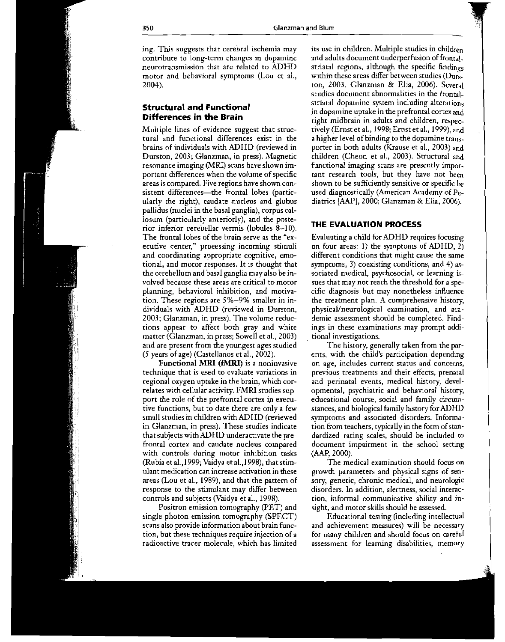ing. This suggests that cerebral ischemia may contribute to long-term changes in dopamine neurotransmission that are related to ADHD motor and behavioral symptoms (Lou et al., 2004).

#### **Structural and Functional Differences in the Brain**

Multiple lines of evidence suggest that structural and functional differences exist in the brains of individuals with ADHD (reviewed in Durston, 2003; Glanzman, in press). Magnetic resonance imaging (MRI) scans have shown important differences when the volume of specific areas is compared. Five regions have shown consistent differences-the frontal lobes (particularly the right), caudate nucleus and globus pallidus (muclei in the basal ganglia), corpus callosum (particularly anteriorly), and the posterior inferior cerebellar vermis (lobules 8-10). The frontal lobes of the brain serve as the "executive center," proeessing incoming stimuli and coordinating appropriate cognitive, emotional, and motor responses. It is thought that the cerebellum and basal ganglia may also be involved because these areas are critical to motor planning, behavioral inhibition, and motivation. These regions are 5%-9% smaller in individuals with ADHD (reviewed in Durston, 2003; Glanzman, in press). The volume reductions appear to affect both gray and white matter (Glanzman, in press; Sowell et al., 2003) and are present from the youngest ages studied *(5* years of age) (Castellanos et al., 2002).

Functional MRI (fMRI) is a noninvasive technique that is used to evaluate variations in regional oxygen uptake in the brain, which correlates with cellular activity. FMRI studies support the role of the prefrontal cortex **ip** executive functions, but to date there are only a few small studies in children with ADHD (reviewed in Glanzrnan, in press). These studies indicate that subjects with ADHD underactivate the prefrontal cortex and caudate nucleus compared with controls during motor inhibition tasks (Rubia et al., 1999; Vaidya et al., 1998), that stimulant medication can increase activation in these areas (Lou et al., 1989), and that the pattern of response to the stimulant may differ between controls and subjects (Vaidya et al., 1998).

Positron emission tomography (PET) and single photon emission tomography (SPECT) scans also provide information about brain function, but these techniques require injection of a radioactive tracer molecule, which has limited its use in children. Multiple studies in children and adults document underperfusion of frontal. striatal regions, although the specific findings within these areas differ between studies (Durs. ton, 2003, Glanzrnan & Elia, 2006). Several studies document abnormalities in the frontalstriatal dopamine system including alterations in dopamine uptake in the prefrontal cortex and right midbrain in adults and children, respec. tively (Emst et al., 1998; Emst et al., 1999), and a higher level of binding to the dopamine transporter in both adults (Krause et al., 2003) and children (Cheon et al., 2003). Structural and functional imaging scans are presently imporrant research tools, but they have not been sbown to be sufficiently sensitive or specific be used diagnostically (American Academy of Pediatrics [AAP], 2000; Glanzman & Elia, 2006).

#### **THE EVALUATION PROCESS**

Evaluating a child for ADHD requires focusing on four areas: 1) the symptoms of ADHD,  $2)$ different conditions that might cause the same symptoms, 3) coexisting conditions, and 4) **as**sociated medical, psychosocial, or learning issues that may not reach the threshold for a specific diagnosis but may nonetheless influence the treatment plan. **A** comprehensive history, physical/neurological examination, and academic assessment should be completed. Findings in these examinations may prompt additional investigations.

The history, generally taken from the parents, with the child's participation depending on age, includes current status and concerns, previous treatments and their effects, prenatal and perinatal events, medical history, developmental, psychiatric and behavioral history, educational course, social and family circumstances, and biological family history for ADHD symptoms and associated disorders. Information from teachers, typically in the fotm of standardized rating scales, should be included to document impairment in the school setting (AAP, 2000).

The medical examination should focus on growth parameters and physical signs of sensory, genetic, chronic medical, and neurologic disorders. In addition, alertness, social interaction, informal communicative ability and insight, and motor skills should be assessed.

Educational testing (including intellectual and achievement measures) will be necessary for many children and should focus on careful assessment for learning disabilities, memory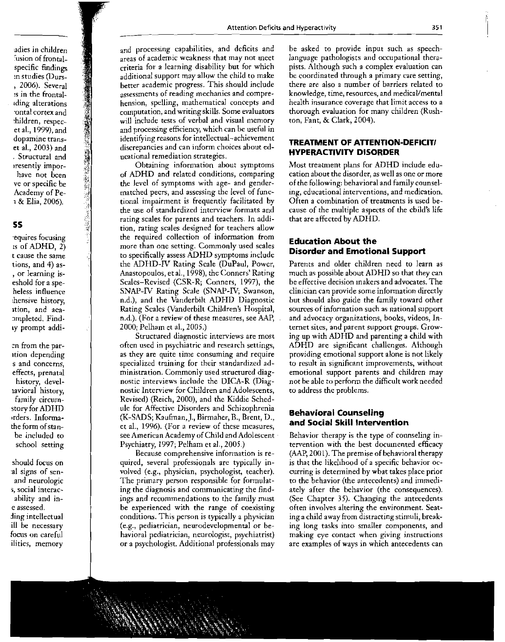udies in children fusion of frontalspecific findings :n studies (Durs-, 2006). Several is in the frontaliding alterations ontal cortex and hildren, respecet al., 1999), and dopamine transet al., 2003) and Structural and presently imporhave not been ve or specific be Academy of Pe-1 & Elia, 2006).

「大きなので、大きなので、そのことに、「大きなので、「そのこのこと」ということに、「そのこと」ということに、「そのこと」ということに、「そのこと」ということに、「そのこと」ということに、「そのこと」と

#### **SS**

equires focusing is of ADHD,  $2)$ t cause the same tions, and 4) as-, or learning iseshold for a speheless influence hensive history. ition, and acaompleted. Findty prompt addi-

en from the parition depending s and concerns, effects, prenatal history, develiavioral history, family circumstory for ADHD rders. Informathe form of stanbe included to school setting

should focus on al signs of senand neurologic s, social interacability and ine assessed. ding intellectual ill be necessary focus on careful ilities, memory

and processing capabilities, and deficits and areas of academic weakness that may not meet criteria for a learning disability but for which additional support may allow the child to make better academic progress. This should include assessments of reading mechanics and comprehension, spelling, mathematical concepts and computation, and writing skills. Some evaluators will include tests of verbal and visual memory and processing efficiency, which can be useful in identifying reasons for intellectual-achievement discrepancies and can inform choices about educational remediation strategies.

Obtaining information about symptoms of ADHD and related conditions, comparing the level of symptoms with age- and gendermatched peers, and assessing the level of functional impairment is frequently facilitated by the use of standardized interview formats and rating scales for parents and teachers. In addition, rating scales designed for teachers allow the required collection of information from more than one setting. Commonly used scales to specifically assess ADHD symptoms include the ADHD-IV Rating Scale (DuPaul, Power, Anastopoulos, et al., 1998), the Conners' Rating Scales-Revised (CSR-R; Conners, 1997), the SNAP-IV Rating Scale (SNAP-IV; Swanson, n.d.), and the Vanderbilt ADHD Diagnostic Rating Scales (Vanderbilt Children's Hospital, n.d.). (For a review of these measures, see AAP, 2000; Pelham et al., 2005.)

Structured diagnostic interviews are most often used in psychiatric and research settings, as they are quite time consuming and require specialized training for their standardized administration. Commonly used structured diagnostic interviews include the DICA-R (Diagnostic Interview for Children and Adolescents, Revised) (Reich, 2000), and the Kiddie Schedule for Affective Disorders and Schizophrenia (K-SADS; Kaufman, J., Birmaher, B., Brent, D., et al., 1996). (For a review of these measures, see American Academy of Child and Adolescent Psychiatry, 1997; Pelham et al., 2005.)

Because comprehensive information is required, several professionals are typically involved (e.g., physician, psychologist, teacher). The primary person responsible for formulating the diagnosis and communicating the findings and recommendations to the family must be experienced with the range of coexisting conditions. This person is typically a physician (e.g., pediatrician, neurodevelopmental or behavioral pediatrician, neurologist, psychiatrist) or a psychologist. Additional professionals may be asked to provide input such as speechlanguage pathologists and occupational therapists. Although such a complex evaluation can be coordinated through a primary care setting, there are also a number of barriers related to knowledge, time, resources, and medical/mental health insurance coverage that limit access to a thorough evaluation for many children (Rushton, Fant, & Clark, 2004).

### **TREATMENT OF ATTENTION-DEFICIT/ HYPERACTIVITY DISORDER**

Most treatment plans for ADHD include education about the disorder, as well as one or more of the following: behavioral and family counseling, educational interventions, and medication. Often a combination of treatments is used because of the multiple aspects of the child's life that are affected by ADHD.

### **Education About the Disorder and Emotional Support**

Parents and older children need to learn as much as possible about ADHD so that they can be effective decision makers and advocates. The clinician can provide some information directly but should also guide the family toward other sources of information such as national support and advocacy organizations, books, videos, Internet sites, and parent support groups. Growing up with ADHD and parenting a child with ADHD are significant challenges. Although providing emotional support alone is not likely to result in significant improvements, without emotional support parents and children may not be able to perform the difficult work needed to address the problems.

#### **Behavioral Counseling** and Social Skill Intervention

Behavior therapy is the type of counseling intervention with the best documented efficacy (AAP, 2001). The premise of behavioral therapy is that the likelihood of a specific behavior occurring is determined by wbat takes place prior to the behavior (the antecedents) and immediately after the behavior (the consequences). (See Chapter 35). Changing the antecedents often involves altering the environment. Seating a child away from distracting stimuli, breaking long tasks into smaller components, and making eye contact when giving instructions are examples of ways in which antecedents can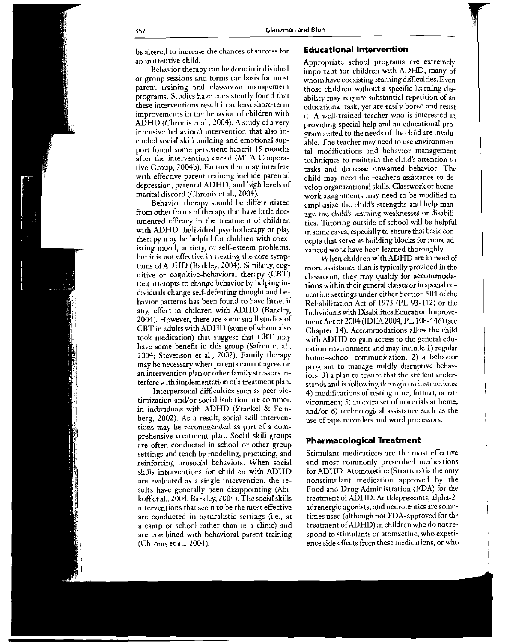

be altered to increase the chances of success for **Educational intervention** 

352

Behavior therapy can be done in individual inportaut for children with ADHD, many of or group sessions and forms the basis for most whom have coexisting learning difficulties. Figure or group sessions and forms the basis for most<br>parent training and classroom management those children without a specific learning disparent training and classroom management those children without a specific learning dis-<br>programs. Studies have consistently found that ability may require substantial repetition of an programs. Studies have consistently found that ability may require substantial repetition of an<br>these interventions result in at least short-term advectional task wet are easily bored and resist these interventions result in at least short-term educational task, yet are easily bored and resist<br>improvements in the behavior of children with it. A well-trained teacher who is interested in improvements in the behavior of children with it. A well-trained teacher who is interested in ADHD (Chronis et al., 2004). A study of a very providing special help and an educational prointensive behavioral intervention that also in-<br>cluded social skill building and emotional sup-<br>able The teacher may need to use environmencluded social skill building and emotional sup-<br>  $\frac{a}{b}$  able. The teacher may need to use environmen-<br>  $\frac{b}{c}$  following and hehavior management port found some persistent benefit 15 months tal modifications and behavior management after the intervention ended (MTA Coopera-<br>tive Group, 2004b). Factors that may interfere rasks and decrease unwanted behavior. The with effective parent training include parental<br>depression, parental ADHD, and high levels of depression, parental ADHD, and high levels of velop organizational skills. Classwork or home-<br>marital discord (Chronis et al., 2004).

Behavior therapy should be differentiated emphasize the child's strengths and help man-<br>from other forms of therapy that have little doc-<br>sue the child's learning weaknesses or disabilifrom other forms of therapy that have little doc-<br>unented efficacy in the treatment of children<br>ties. Tutoring outside of school will be helpful with ADHD. Individual psychotherapy or play  $\frac{1}{10}$  some cases, especially to ensure that basic con-<br>therapy may be helpful for children with coex-<br>cents that serve as building blocks for more adtherapy may be helpful for children with coex-<br>isting mood, anxiety, or self-esteem problems, vanced work have been learned thoroughly. but it is not effective in treating the core symp-<br>then children with ADHD are in need of<br>toms of ADHD (Barkley, 2004). Similarly, cog-<br>more assistance than is typically provided in the nitive or cognitive-behavioral therapy  $(CBT)$  that attempts to change behavior by helping inthat attempts to change behavior by helping in-<br>dividuals change self-defeating thought and be-<br>neation settings under either Section 504 of the dividuals change self-defeating thought and be-<br>havior patterns has been found to have little, if<br> $Rehabitation$  Act of 1973 (PL 93-112) or the havior patterns has been found to have little, if  $\frac{1}{100}$  Rehabilitation Act of 1973 (PL 93-112) or the any, effect in children with ADHD (Barkley, and individuals with Disabilities Education Improveany, ettect in children with ADHD (Barkley, Individuals with Disabilities Education Improve-<br>2004). However, there are some small studies of <sub>ment Act of 2004 (IDEA 2004; PL 108-446) (see</sub>  $2004$  However, the are some SMALL studies of medication studies of mental studies of the seed the child<br>took medication) that suggest that CBT may with ADHD to gain access to the general edutook medication) that suggest that CBT may with ADHD to gain access to the general edu-<br>have some benefit in this group (Safren et al., eation environment and may include 1) regular have some benefit iu this group (Safren et al., cation environment and may include 1) regular 2004; Stevenson et al., 2002). Family therapy home-school communication: 2) a hehavior 2004; Stevenson et al., 2002). Family therapy home-school communication; 2) a behavior  $\frac{1}{2}$  home school communication; 2) a behavior may be necessary when parents cannot agree on program to manage mildly disruptive behav-<br>an intervention plan or other family stressors in-<br>inter 3) a plan to ensure that the student underan intervention plan or other family stressors  $in$  iors; 3) a plan to ensure that the student under-<br>terfere with implementation of a treatment plan. stands and is following through on instructions:

timization and/or social isolation are common vironment; 5) an extra set of materials at home;<br>in individuals with ADHD (Frankel & Fein- and/or 6) technological assistance such as the<br>berg, 2002). As a result, social skill berg, 2002). As a result, social skill interven-<br>tions may be recommended as part of a comprehensive treament plan. Social skill groups are often conducted in school or other group **Pharmacological Treatment**  settings and teach by modeling, practicing, and Stimulant medications are the most effective<br>reinforcing prosocial behaviors. When social and most commonly prescribed medications reinforcing prosoeial behaviors. When social skills interventions for children with ADHD for ADHD. Atomoxetine (Strattera) is the only are evaluated as a single intervention, the re- nonstimulant medication approved by the sults have generally been disappointing (Abi- Food and Drug Administration (FDA) for the koff et al., 2004; Barkley, 2004). The social skills treatment of ADHD. Antidepressants, alpha-2interventions that seem to be the most effective adrenergic agonists, and neuroleptics are someare conducted in naturalistic settings (i.e., at times used (although not FDA-approved for the a camp or school rather than in a clinic) and treatment of ADHD) in children who do not rea camp or school rather than in a clinic) and are combined with behavioral parent training spond to stimulants or atomxetine, who experi-(Chronis et al., 2004). ence side effects from these medications, or who

an inattentive child.<br>Behavior therapy can be done in individual inportant for children with ADHD, many of tasks and decrease unwanted behavior. The<br>child may need the teacher's assistance to detal discord (Chronis et al., 2004). work assignments may need to be modified to be modified to the handle man-

the assistance than is typically provided in the<br>classroom, they may qualify for accommodaterfere with implementation of a treatment plan.<br>Interpersonal difficulties such as peer vic-<br>timization of testing rime, format, or en-<br>timization and/or social isolation are common<br>vironment. 5) an extra set of materials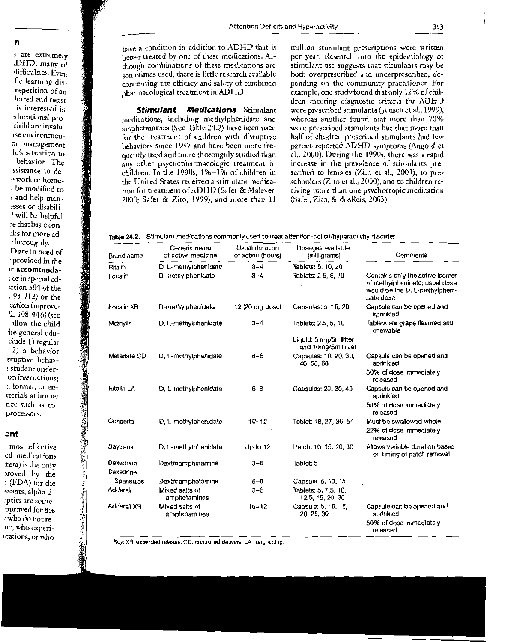n

are extremely DHD, many of difficulties. Even fic learning disrepetition of an bored and resist is interested in educational prochild are invaluise environmeuor management Id's attention to

behavior. The issistance to deswork or homebe modified to s and help manesses or disabilil will be helpful re that basic concks for more adthoroughly.

D are in need of provided in the or accommodaor in special edction 504 of the  $.93-112$ ) or the cation Improve-<sup>3</sup>L 108-446) (see allow the child he general educlude 1) regular 2) a behavior sruptive behav-: student underon instructions: ; format, or entterials at home: nce such as the processors.

#### ent

most effective ed medications tera) is the only proved by the 1 (FDA) for the ssants, alpha-2eptics are somepproved for the 1 who do not rene, who experiications, or who

have a condition in addition to ADHD that is better treated by one of these medications. Although combinations of these medications are sometimes used, there is little research available concerning the efficacy and safety of combined pharmacological treatment in ADHD.

Stimulant Medications Stimulant medications, including methylphenidate and amphetamines (See Table 24.2) have been used for the treatment of children with disruptive behaviors since 1937 and have been more frequently used and more thoroughly studied than any other psychopharmacologic treatment in children. In the 1990s, 1%-3% of children in the United States received a stimulant medication for treatment of ADHD (Safer & Malever, 2000; Safer & Zito, 1999), and more than 11

million stimulant prescriptions were written per year. Research into the epidemiology of stimulant use suggests that stimulants may be both overprescribed and underprescribed, depending on the community practitioner. For example, one study found that only 12% of children meeting diagnostic criteria for ADHD were prescribed stimulants (Jensen et al., 1999), whereas another found that more than 70% were prescribed stimulants but that more than half of children prescribed stimulants had few parent-reported ADHD symptoms (Angold et al., 2000). During the 1990s, there was a rapid increase in the prevalence of stimulants prescribed to females (Zito et al., 2003), to preschoolers (Zito et al., 2000), and to children reciving more than one psychotropic medication (Safer, Zito, & dosReis, 2003).

Table 24.2. Stimulant medications commonly used to treat attention-deficit/hyperactivity disorder

| Brand name  | Generic name<br>of active medicine | Usual duration<br>of action (hours) | Dosages available<br>(milligrams)              | Comments                                                                                                         |
|-------------|------------------------------------|-------------------------------------|------------------------------------------------|------------------------------------------------------------------------------------------------------------------|
| Ritalin     | D, L-methylphenidate               | $3 - 4$                             | Tablets: 5, 10, 20                             |                                                                                                                  |
| Focalin     | D-methylphenidate                  | $3 - 4$                             | Tablets: 2.5, 5, 10                            | Contains only the active isomer<br>of methylphenidate; usual dose<br>would be the D, L-methylpheni-<br>date dose |
| Focalin XR  | D-methylphenidate                  | 12 (20 mg dose)                     | Capsules: 5, 10, 20                            | Capsule can be opened and<br>sprinkled                                                                           |
| Methylin    | D, L-methylphenidate               | $3 - 4$                             | Tablets: 2.5, 5, 10                            | Tablets are grape flavored and<br>chewable                                                                       |
|             |                                    |                                     | Liquid: 5 mg/5milliter<br>and 10mg/5milliliter |                                                                                                                  |
| Metadate CD | D, L-methylphenidate               | $6 - 8$                             | Capsules: 10, 20, 30,<br>40, 50, 60            | Capsule can be opened and<br>sprinkled                                                                           |
|             |                                    |                                     |                                                | 30% of dose immediately<br>released                                                                              |
| Ritalin LA  | D. L-methylphenidate               | 6–8                                 | Capsules: 20, 30, 40                           | Capsule can be opened and<br>sprinkled                                                                           |
|             |                                    |                                     |                                                | 50% of dose immediately<br>released                                                                              |
| Concerta    | D, L-methylphenidate               | $10 - 12$                           | Tablet: 18, 27, 36, 54                         | Must be swallowed whole<br>22% of dose immediately                                                               |
|             |                                    |                                     |                                                | released                                                                                                         |
| Daytrana    | D, L-methylphenidate               | Up to 12                            | Patch: 10, 15, 20, 30                          | Allows variable duration based<br>on timing of patch removal                                                     |
| Dexedrine   | Dextroamphetamine                  | $3 - 6$                             | Tablet: 5                                      |                                                                                                                  |
| Dexedrine   |                                    |                                     |                                                |                                                                                                                  |
| Spansules   | Dextroamphetamine                  | $6 - 8$                             | Capsule: 5, 10, 15                             |                                                                                                                  |
| Adderall    | Mixed salts of<br>amphetamines     | $3 - 6$                             | Tablets: 5, 7.5, 10,<br>12.5, 15, 20, 30       |                                                                                                                  |
| Adderall XR | Mixed salts of<br>amphetamines     | $10 - 12$                           | Capsule: 5, 10, 15,<br>20, 25, 30              | Capsule can be opened and<br>sprinkled                                                                           |
|             |                                    |                                     |                                                | 50% of dose immediately<br>released                                                                              |

Key: XR, extended release; CD, controlled delivery; LA, long acting.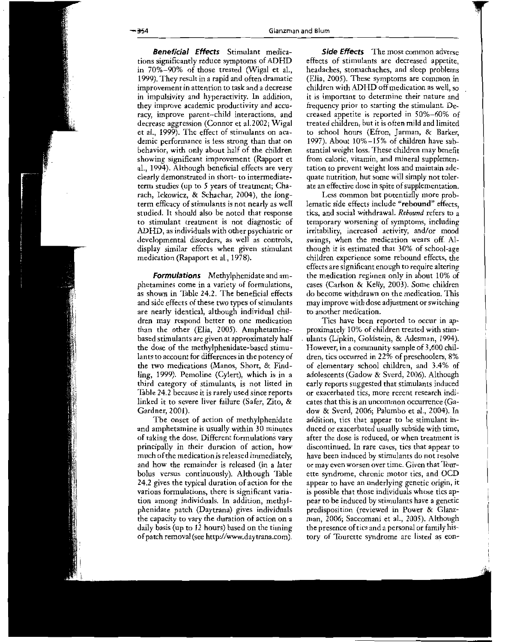Beneficial Effects Stimulant medications significantly reduce symptoms of ADHD in 70%-90% of those treated (Wigal et al., 1999). They result in a rapid and often dramatic improvement in attention to task and a decrease in impulsivity and hyperactivity. In addition, they improve academic productivity and accuracy, improve parent-child interactions, and decrease aggression (Connor et al.2002; Wigal et al., 1999). The effect of stimulants on academic performance is less strong than that on behavior, with only about half of the children showing significant improvement (Rapport et al., 1994). Although beneficial effects are very clearly demonstrated in short- to intermediateterm studies (up to 5 years of treatment; Charach, Ickowicz, & Schachar, 2004), the longterm efficacy of stimulants is not nearly as well studied. It should also be noted that response to stimulant treatment is not diagnostic of ADHD, as individuals with other psychiatric or developmental disorders, as well as controls, display similar effects when given stimulant medication (Rapaport et al., 1978).

**Formulations** Methylphenidate and amphetamines come in a variety of formulations, as shown in Table 24.2. The beneficial effects and side effects of these two types of stimulants are nearly identical, although individual children may respond better to one medication than the other (Elia, 2005). Amphetaminebased stimulants are given at approximately half the dose of the methylphenidate-based stimulants to account for differences in the potency of the two medications (Manos, Short, & Findling, 1999). Pemoline (Cylert), which is in a third category of stimulants, is not listed in Table 24.2 because it is rarely used since reports linked it to severe liver failure (Safer, Zito, & Gardner, 2001).

The onset of action of methylphenidate and amphetamine is usually within 30 minutes of taking the dose. Different formulations vary principally in their duration of action, how much of the medication is released immediately, and how the remainder is released (in a later bolus versus continuously). Although Table 24.2 gives the typical duration of action for the various formulations, there is significant variation among individuals. In addition, methylphenidate patch (Daytrana) gives individuals the capacity to vary the duration of action on a daily basis (up to 12 hours) based on the timing of patch removal (see http://www.daytrana.com).

**Side Effects** The most common adverse effects of stimulants are decreased appetite, headaches, stomachaches, and sleep problems (Elia, 2005). These symptoms are common in children with ADHD off medication as well, so it is important to determine their nature and frequency prior to starting the stimulant. Decreased appetite is reported in 50%-60% of treated children, but it is often mild and limited to school hours (Efron, Jarman, & Barker, 1997). About 10%-15% of children have substantial weight loss. These children may benefit from caloric, vitamin, and mineral supplementation to prevent weight loss and maintain adequate nutrition, hut some will simply not tolerate an effective dose in spite of supplementation.

Less common but potentially more problematic side effects include "rebound" effects, tics, and social withdrawal. Rebound refers to a temporary worsening of symptoms, including irritability, increased activity, and/or mood swings, when the medication wears off. Although it is estimated that 30% of school-age children experience some rebound effects, the effects are significant enough to require altering the medication regimen only in about 10% of cases (Carlson & Kelly, 2003). Some children do become withdrawn on the medication. This may improve with dose adjustment or switching to another medication.

Tics have been reported to occur in approximately 10% of children treated with stimulants (Lipkin, Goldstein, & Adesman, 1994). However, in a community sample of 3,600 children, tics occurred in 22% of preschoolers, 8% of elementary school children, and 3.4% of adolescents (Gadow & Sverd, 2006). Although early reports suggested that stimulants induced or exacerbated tics, more recent research indicates that this is an uncommon occurrence (Gadow & Sverd, 2006; Palumbo et al., 2004). In addition, tics that appear to be stimulant induced or exacerbated usually subside with time, after the dose is reduced, or when treatment is discontinued. In rare cases, tics that appear to have been induced by stimulants do not resolve or may even worsen over time. Given that Tourette syndrome, chronic motor tics, and OCD appear to have an underlying genetic origin, it is possible that those individuals whose tics appear to be induced by stimulants have a genetic predisposition (reviewed in Power & Glanzman, 2006; Saccomani et al., 2005). Although the presence of tics and a personal or family history of Tourette syndrome are listed as eon-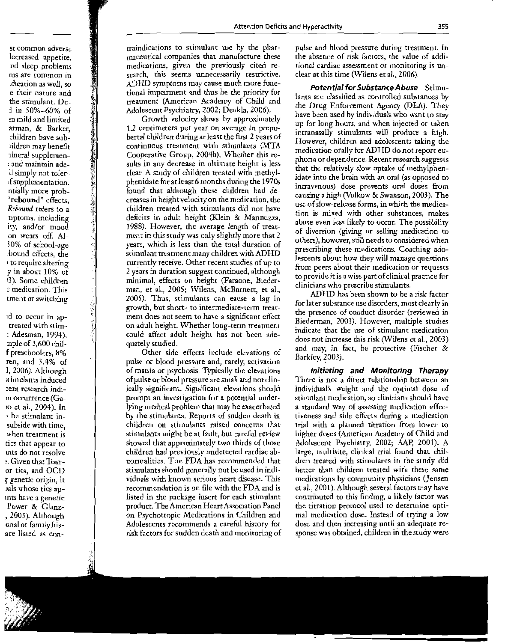st common adverse lecreased appetite, nd sleep problems ms are common in dication as well, so e their nature and the stimulant. Ded in 50%-60% of en mild and limited arman, & Barker, children have subiildren may benefit ineral supplemenand maintain ade-Il simply not tolerof supplementation. ntially more prob-"rebound" effects, Rebound refers to a nptoms, including ity, and/or mood on wears off. Al-30% of school-age bound effects, the to require altering y in about 10% of <sup>13</sup>). Some children e medication. This tment or switching

d to occur in aptreated with stimr Adesman, 1994). mple of  $3,600$  chilf preschoolers, 8% ren, and 3.4% of l, 2006). Although timulants induced ent research indi--n occurrence (Ga <sup>10</sup> et al., 2004). In be stimulant insubside with time, when treatment is tics that appear to ints do not resolve : Given that Touror tics, and OCD *z* genetic origin, it als whose tics apints have a genetic Power & Glanz-, 2005). Although onal or family hisare listed as contraindications to stimulant use by the pharmaceutical companies that manufacture these medications, given the previously cited research, this seems unnecessarily restrictive. ADHD symptoms may cause much more funetional impairment and thus he the priority for treatment (American Academy of Child and Adolescent Psychiatry, 2002; Denkla, 2006).

Growth velocity slows by approximately 1.2 centimeters per year on average in prepubertal children during at least the first 2 years of continuous treatment with stimulants (MTA Cooperative Group, 2004b). Whether this results in any decrease in ultimate height is less clear. A study of children treated with methylphenidate for at least 6 months during the 1970s found that although these children had decreases in height velocity on the medication, the children treated with stimulants did not have deficits in adult height (Klein & Mannuzza, 1988). However, the average length of treatment in this study was only slightly more that 2 years, which is less than the total duration of stimulant treatment many children with ADHD currently receive. Other recent studies of up to 2 years in duration suggest continued, although minimal, effects on height (Faraone, Biederman, et al., 2005; Wilens, McBurnett, et al., 2005). Thus, stimulants can eause a lag in growth, but short- to intermediate-term treatment does not seem to have a significant effect on adult height. Whether long-term treatment could affect adult height has not been adequately studied.

Other side effects include elevations of pulse or blood pressure and, rarely, activation of mania or psychosis. Typically the elevations of pulse or blood pressure are small and not clinically significant. Significant elevations should prompt an investigation for a potential underlying medical problem that may be exacerbated by the stimulants. Reports of sudden death in children on stimulants raised concerns that stimulants might be at fault, but careful review showed that approximately two thirds of those children had previously undetected cardiac abnormalities. The FDA has recommended that stimulants should generally not be used in individuals with known serious heart disease. This recommendation is on file with the FDA and is listed in the package insert for each stimulant product. The American Heart Association Panel on Psychotropic Medications in Children and Adolescents recommends a careful history for risk factors for sudden death and monitoring of pulse and blood pressure during treatment. In the absence of risk factors, the value of additional cardiac assessment or monitoring is unclear at this time (Wilens et al., 2006).

**Potential for Substance Abuse** Stimulants are classified as controlled substances by the Drug Enforcement Agency (DEA). They have been used by individuals who want to stay up for long hours, and when injected or taken intranasally stimulants will produce a high. However, children and adolescents taking the medication orally for ADHD do not report euphoria or dependence. Recent research suggests that the relatively slow uptake of methylphenidate into the brain with an oral (as opposed to intravenous) dose prevents oral doses from causing a high (Volkow & Swanson, 2003). The use of slow-release forms, in which the medication is mixed with other substances, makes abuse even less likely to occur. The possibility of diversion (giving or selling medication to others), however, still needs to considered when prescribing these medications. Coaching adolescents about how they will manage questions from peers about their medication or requests to provide it is a wise part of clinical practice for clinicians who prescribe stimulants.

ADHD has been shown to be a risk factor for later substance use disorders, most clearly in the presence of conduct disorder (reviewed in Biederman, 2003). However, multiple studies indicate that the use of stimulant medication does not increase this risk (Wilens et al., 2003) and may, in fact, be protective (Fischer & Barkley, 2003).

Initiating and Monitoring Therapy There is not a direct relationship between an individual's weight and the optimal dose of stimulant medication, so clinicians should have a standard way of assessing medication effectiveness and side effects during a medication trial with a planned titration from lower to higher doses (American Academy of Child and Adolescent Psychiatry, 2002; AAP, 2001). A large, multisite, clinical trial found that children treated with stimulants in the study did better than children treated with these same medications by community physicians (Jensen et al., 2001). Although several factors may have contributed to this finding, a likely factor was the titration protocol used to determine optimal medication dose. Instead of trying a low dose and then increasing until an adequate response was obtained, children in the study were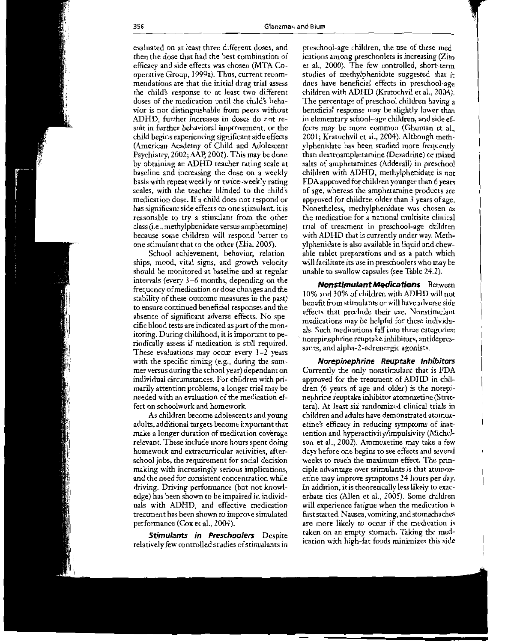

evaluated on at least three different doses, and then the dose that had the best combination of efficacy and side effects was chosen (MTA Cooperative Group, 1999a). Thus, current recommendations are that the initial drug trial assess the child's response to at least two different doses of the medication until the child's behavior is not distinguishable from peers without ADHD, further mcreases in doses do not result in further behavioral improvement, or the child begins experiencing significant side effects (American Academy of Child and Adolescent Psychiatry, 2002; AAP, 2001). This may be done by obtaining an ADHD teacher rating scale at baseline and increasing the dose on a weekly basis with repeat weekly or twice-weekly rating scales, with the teacher blinded to the child's medication dose. If a child does not respond or has significant side effects on one stimulant, it is reasonable to try a stimulant from the other class (i.e., methylphenidate versus amphetamine) because some children will respond better to one stimulant that to the other (Elia, 2005).

356

School achievement, behavior, relationships, mood, vital signs, and growth velocity should be monitored at baseline and at regular intervals (every 3–6 months, depending on the frequency of medication or dose changes and the stability of these outcome measures in the past) to ensure continued beneficial responses and the absence of significant adverse effects. No specific blood tests are indicated as part of the monitoring. During childhood, it is important to periodically assess if medication is still required. These evaluations may occur every  $1-2$  years with the specific timing (e.g., during the summer versus during the school year) dependant on individual circumstances. For children with primarily attention problems, a longer trial may be needed with an evaluation of the medication effect on schoolwork and homework.

As children become adolescents and young adults, additional targets become important that make a longer duration of medication coverage relevant. These include more hours spent doing homework and extracurricular activities, afterschool jobs, the requirement for social decision making with increasingly serious implications, and the need for consistent concentration while driving. Driving performance (but not knowledge) has been shown to be impaired in individuals with ADHD, and effective medication treatment has been shown to improve simulated performance (Cox et al., 2004).

**Stimulants in Preschoolers** Despite relatively few controlled studies of stimulants in

preschool-age children, the use of these medications among preschoolers is increasing (Zito et al., 2000). The few controlled, short-term studies of methylphenidate suggested that it does have beneficial effects in preschool-age children with ADHD (Kratochvil et al., 2004). The percentage of preschool children having a beneficial response may be slightly lower than in elementary school-age children, and side effects may be more common (Ghuman et al., 2001; Kratochvil et al., 2004). Although methylphenidate has been studied more frequently than dextroamphetamine (Dexadrine) or mixed salts of amphetamines (Adderall) in preschool children with ADHD, methylphenidate is not FDA approved for children younger than 6 years of age, whereas the amphetamine products are approved for children older than 3 years of age. Nonetheless, methylphenidate was chosen as the medication for a national multisite clinical trial of treatment in preschool-age children with ADHD that is currently under way. Methylphenidate is also available in liquid and chewable tablet preparations and as a patch which will facilitate its use in preschoolers who may be unable to swallow capsules (see Table 24.2).

**Nonstimulant Medications** Between 10% and 30% of children with ADHD will not benefit from stimulants or will have adverse side effects that preclude their use. Nonstimulant medications may be helpful for these individuals. Such medications fall into three categories: norepinephrine reuptake inhibitors, antidepressants, and alpha-2-adrenergic agonists.

Norepinephrine Reuptake Inhibitors Currently the only nonstimulant that is FDA approved for the treatment of ADHD in children (6 years of age and older) is the norepinephrine reuptake inhibitor atomoxetine (Strattera). At least six randomized clinical trials in children and adults have demonstrated atomoxetine's efficacy in reducing symptoms of inattention and hyperactivity/impulsivity (Michelson et al., 2002). Atomoxetine may take a few days before one begins to see effects and several weeks to reach the maximum effect. The principle advantage over stimulants is that atomoxetine may improve symptoms 24 hours per day. In addition, it is theoretically less likely to exacerbate tics (Allen et al., 2005). Some children will experience fatigue when the medication is first started. Nausea, vomiting, and stomachaches are more likely to occur if the medication is taken on an empty stomach. Taking the medication with high-fat foods minimizes this side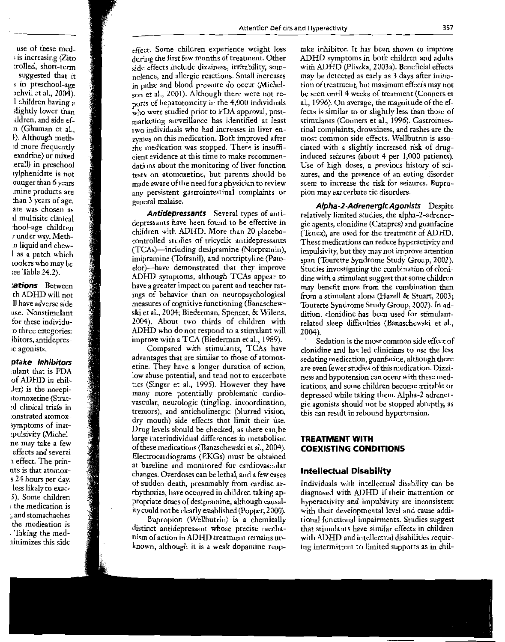use of these med- $\frac{1}{2}$  is increasing (Zito rolled, short-term

suggested that it i in preschool-age ochvil et al., 2004). I children having a slightly lower than uldren, and side efn (Ghuman et al., l). Although methd more frequently exadrine) or mixed erall) in preschool iylphenidate is not ounger than 6 years unine products are than 3 years of age. ate was chosen as il multisite clinical hool-age children / under way. Methn liquid and chewl as a patch which oolers who may be iee Table 24.2).

**ations** Between: th ADHD will not Il have adverse side use. Nonstimulant for these individuo three categories: ibitors, antidepresic agonists.

ptake Inhibitors ulant that is FDA of ADHD in ehil $ter)$  is the norepiitomoxetine (Strated clinical trials in ionstrated atomoxsymptoms of inatipulsivity (Michelne may take a few effects and several a effect. The prinnts is that atomoxs 24 hours per day. less likely to exac-5). Some children the medication is , and stomachaches the medieation is . Taking the medninimizes this side

effect. Some children experience weight loss during the first few months of treatment. Other side effects include dizziness, irritability, somnolence, and allergic reactions. Small inereases in pulse and blood pressure do occur (Michelson et al., 2001). Although there were not reports of hepatotoxicity in the 4,000 individuals who were studied prior to FDA approval, postmarketing surveillance has identified at least two individuals who had increases in liver enzymes on this medication. Both improved after the medication was stopped. There is insufficient evidence at this time to make recommendations about the monitoring of liver function tests on atomoxetine, but parents should be made aware of the need for a physician to review any persistent gastrointestinal complaints or general malaise.

Antidepressants Several types of antidepressants have been found to be effective in children with ADHD. More than 20 placebocontrolled studies of tricyclic antidepressants (TCAs)—including desipramine (Norpramin), imipramine (Tofranil), and nortriptyline (Pamelor)-have demonstrated that they improve ADHD symptoms, although TCAs appear to have a greater impact on parent and teacher ratings of behavior than on neuropsychological measures of cognitive functioning (Banaschewski et al., 2004; Biederman, Spencer, & Wilens, 2004). About two thirds of children with ADHD who do not respond to a stimulant will improve with a TCA (Biederman et al., 1989).

Compared with stimulants, TCAs have advantages that are similar to those of atomoxetine. They have a longer duration of action, low abuse potential, and tend not to exacerbate tics (Singer et al., 1995). However they have many more potentially problematic cardiovascular, neurologic (tingling, incoordination, tremors), and anticholinergic (blurred vision, dry mouth) side effects that limit their use. Drug levels should be checked, as there can be large interindividual differences in metabolism of these medications (Banaschewski et al., 2004). Electrocardiograms (EKGs) must be obtained at baseline and monitored for cardiovascular changes. Overdoses can be lethal, and a few cases of sudden death, presnmably from cardiac arrhythmias, have occurred in children taking appropriate doses of desipramine, although causality could not be clearly established (Popper, 2000).

Bupropion (Wellbutrin) is a chemieally distinct antidepressant whose precise mechanism of action in ADHD treatment remains unknown, although it is a weak dopamine reuptake inhibitor. It has been shown to improve ADHD symptoms in both children and adults with ADHD (Pliszka, 2003a). Beneficial effects may be detected as early as 3 days after initiation of treatment, but maximum effects may not be seen until 4 weeks of treatment (Conners et al., 1996). On average, the magnitude of the effects is similar to or slightly less than those of stimulants (Conners et al., 1996). Gastrointestinal complaints, drowsiness, and rashes are the most common side effects. Wellbutrin is associated with a slightly increased risk of druginduced seizures (about 4 per 1,000 patients). Use of high doses, a previous history of seizures, and the presence of an eating disorder seem to increase the risk for seizures. Bupropion may exacerbate tic disorders.

Alpha-2-Adrenergic Agonists Despite relatively limited studies, the alpha-2-adrenergic agents, clonidine (Catapres) and guanfacine (Tenex), are used for the treatment of ADHD. These medications can reduce hyperactivity and impulsivity, but they may not improve attention span (Tourette Syndrome Study Group, 2002). Studies investigating the combination of clonidine with a stimulant suggest that some children may benefit more from the combination than from a stimulant alone (Hazell & Stuart, 2003; Tourette Syndrome Study Group, 2002). In addition, clonidine has been used for stimulantrelated sleep difficulties (Banaschewski et al., 2004).

Sedation is the most common side effect of clonidine and has led clinicians to use the less sedating medication, guanfacine, although there are even fewer studies of this medication. Dizziness and hypotension can oceur with these medications, and some children become irritable or depressed while taking them. Alpha-2 adrenergic agonists should not be stopped abruptly, as this can result in rebound hypertension.

#### TREATMENT WITH **COEXISTING CONDITIONS**

#### Intellectual Disability

Individuals with intellectual disability can be diagnosed with ADHD if their inattention or hyperactivity and impulsivity are inconsistent with their developmental level and cause additional functional impairments. Studies suggest that stimulants have similar effects in children with ADHD and intellectual disabilities requiring intermittent to limited supports as in chil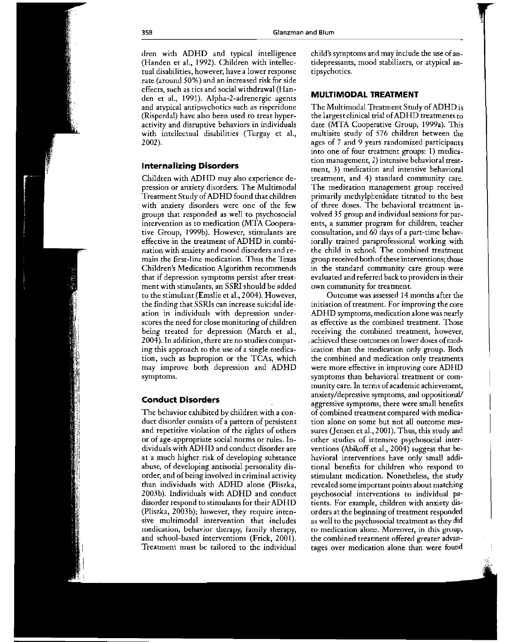dren with ADHD and typical intelligence (Handen et al., 1992). Children with intellectual disabilities, however, have a lower response rate (around 50%) and an increased risk for side effects, such as tics and social withdrawal (Handen et al., 1991). Alpha-2-adrenergic agents and atypical antipsychotics such as risperidone (Risperdal) have also been used to treat hyperactivity and disruptive behaviors in individuals with intellectual disabilities (Turgay et al., 2002).

#### **Internalizing Disorders**

Children with ADHD may also experience depression or anxiety disorders. The Multimodal Treatment Study of ADHD found that children with anxiety disorders were one of the few groups that responded as well to psychosocial intervention as to medication (MTA Cooperative Group, 1999b). However, stimulants are effective in the treatment of ADHD in combination with anxiety and mood disorders and remain the first-line medication. Thus the Texas Children's Medication Algorithm recommends that if depression symptoms persist after treatment with stimulants, an SSRI should be added to the stimulant (Emslie et al., 2004). However, the finding that SSRIs can increase suicidal ideation in individuals with depression underscores the need for close monitoring of children being treated for depression (March et al., 2004). In addition, there are no studies comparing this approach to the use of a single medication, such as bupropion or the TCAs, which may improve both depression and ADHD symptoms.

#### **Conduct Disorders**

The behavior exhibited by children with a conduct disorder consists of a pattern of persistent and repetitive violation of the rights of others or of age-appropriate social norms or rules. Individuals with ADHD and conduct disorder are at a much higher risk of developing substance abuse, of developing antisocial personality disorder, and of being involved in criminal activity than individuals with ADHD alone (Pliszka, 2003b). Individuals with ADHD and conduct disorder respond to stimulants for their ADHD (Pliszka, 2003b); however, they require intensive multimodal intervention that includes medication, behavior therapy, family therapy, and school-based interventions (Frick, 2001). Treatment must be tailored to the individual

child's symptoms and may include the use of antidepressants, mood stabilizers, or atypical antipsychotics.

#### **MULTIMODAL TREATMENT**

The Multimodal Treatment Study of ADHD is the largest clinical trial of ADHD treatments to date (MTA Cooperative Group, 1999a). This multisite study of 576 children between the ages of 7 and 9 years randomized participants into one of four treatment groups: 1) medication management, 2) intensive behavioral treatment, 3) medication and intensive behavioral treatment, and 4) standard community care. The medieation management group received primarily methylphenidate titrated to the best of three doses. The behavioral treatment involved 35 group and individual sessions for parents, a summer program for children, teacher consultation, and 60 days of a part-time behaviorally trained paraprofessional working with the child in school. The combined treatment group received both of these interventions; those in the standard community care group were evaluated and referred back to providers in their own community for treatment.

Outcome was assessed 14 months after the initiation of treatment. For improving the core ADHD symptoms, medication alone was nearly as effective as the combined treatment. Those receiving the combined treatment, however, achieved these outcomes on lower doses of medication than the medication only group. Both the combined and medication only treatments were more effective in improving core ADHD symptoms than behavioral treatment or community care. In terms of academic achievement, anxiety/depressive symptoms, and oppositional/ aggressive symptoms, there were small benefits of combined treatment compared with medication alone on some but not all outcome measures (Jensen et al., 2001). Thus, this study and other studies of intensive psychosocial interventions (Abikoff et al., 2004) suggest that behavioral interventions have only small additional benefits for children who respond to stimulant medication. Nonetheless, the study revealed some important points about matching psychosocial interventions to individual patients. For example, children with anxiety disorders at the beginning of treatment responded as well to the psychosocial treatment as they did to medication alone. Moreover, in this group, the combined treatment offered greater advantages over medication alone than were found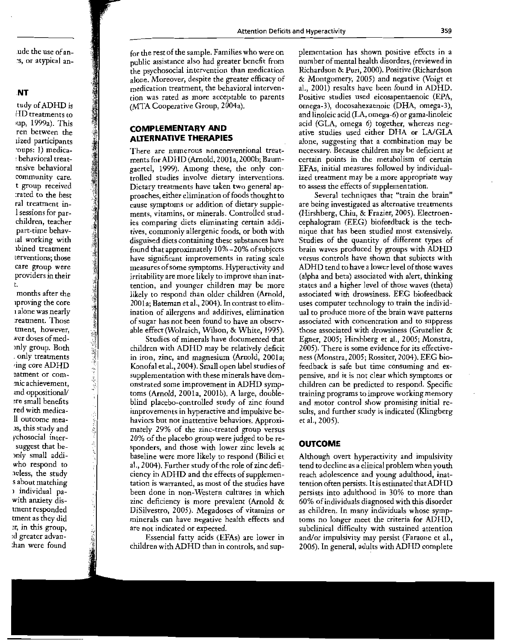ude the use of an-:s, or atypical an-

### **NT**

tudy of ADHD is HD treatments to up, 1999a). This ren between the iized participants roups: 1) medicabehavioral treatensive behavioral community care. t group received rated to the best ral treatment inl sessions for parchildren, teacher part-time behaval working with abined treatment terventions; those care group were providers in their t.

電子のお気がいる あまま

( 2) をやくする ( す)

months after the proving the core i alone was nearly reatment. Those tment, however, *ver* doses of medonly group. Both only treatments ing core ADHD eatment or comnic achievement, and oppositional/ ere small benefits red with medica-Il outcome meais, this study and ychosocial intersuggest that beonly small addiwho respond to neless, the study s about matching p individual pawith anxiety distment responded tment as they did er, in this group, d greater advanhan were found

for the rest of the sample. Families who were on public assistance also had greater benefit from the psychosocial intervention than medication alone. Moreover, despite the greater efficacy of medication treatment, the behavioral intervention was rated as more acceptable to parents (MTA Cooperative Group, 2004a).

#### COMPLEMENTARY AND ALTERNATIVE THERAPIES

There are numerous nonconventional treatments for ADHD (Arnold, 2001a, 2000b; Baumgaertel, 1999). Among these, the only controlled studies involve dietary interventions. Dietary treatments have taken two general approaches, either elimination of foods thought to cause symptoms or addition of dietary supplements, vitamins, or minerals. Controlled studies comparing diets eliminating certain additives, commonly allergenic foods, or both with disguised diets containing thesc substances have found that approximately 10%–20% of subjects have significant improvements in rating scale measures of some symptoms. Hyperactivity and irritability are more likely to improve than inattention, and younger children may be more likely to respond than older children (Arnold, 2001a; Bateman et al., 2004). In contrast to elimination of allergens and additives, elimination of sugar has not been found to have an observable effect (Wolraich, Wilson, & White, 1995).

Studies of minerals have documented that children with ADHD may be relatively deficit in iron, zinc, and magnesium (Arnold, 2001a; Konofal et al., 2004). Small open label studies of supplementation with these minerals have demonstrated some improvement in ADHD symptoms (Arnold, 2001a, 2001b). A large, doubleblind placebo-controlled study of zinc found improvements in hyperactive and impulsive behaviors but not inattentive behaviors. Approximately 29% of the zinc-treated group versus 20% of the placebo group were judged to be responders, and those with lower zinc levels at baseline were more likely to respond (Bilici et al., 2004). Further study of the role of zinc deficiency in ADHD and the effects of supplementation is warranted, as most of the studies have been done in non-Western cultures in which zinc deficiency is more prevalent (Arnold & DiSilvestro, 2005). Megadoses of vitamins or minerals can have negative health effects and are not indicated or expected.

Essential fatty acids (EFAs) are lower in children with ADHD than in controls, and supplementation has shown positive effects in a number of mental health disorders, (reviewed in Richardson & Puri, 2000). Positive (Richardson & Montgomery, 2005) and negative (Voigt et al., 2001) results have been found in ADHD. Positive studies used eicosapentaenoic (EPA, omega-3), docosahexaenoic (DHA, omega-3), and linoleic acid (LA, omega-6) or gama-linoleic acid (GLA, omega 6) together, whereas negative studies used either DHA or LA/GLA alone, suggesting that a combination may be necessary. Because children may be deficient at certain points in the metabolism of certain EFAs, initial measures followed by individualized treatment may be a more appropriate way to assess the effects of supplementation.

Several techniques that "train the brain" are being investigated as alternative treatments (Hirshberg, Chiu, & Frazier, 2005). Electroencephalogram (EEG) biofeedback is the technique that has been studied most extensively. Studies of the quantity of different types of brain waves produced by groups with ADHD versus controls have shown that subjects with ADHD tend to have a lower level of those waves (alpha and beta) associated with alert, thinking states and a higher level of those waves (theta) associated with drowsiness. EEG biofeedback uses computer technology to train the individual to produce more of the brain wave patterns associated with concentration and to suppress those associated with drowsiness (Gruzelier & Egner, 2005; Hirshberg et al., 2005; Monstra, 2005). There is some evidence for its effectiveness (Monstra, 2005; Rossiter, 2004). EEG biofeedback is safe but time consuming and expensive, and it is not clear which symptoms or children can be predicted to respond. Specific training programs to improve working memory and motor control show promising initial results, and further study is indicated (Klingberg) et al., 2005).

### **OUTCOME**

Although overt hyperactivity and impulsivity tend to decline as a elinical problem when youth reach adolescence and young adulthood, inattention often persists. It is estimated that ADHD persists into adulthood in 30% to more than 60% of individuals diagnosed with this disorder as children. In many individuals whose symptoms no longer meet the criteria for ADHD, subclinical difficulty with sustained attention and/or impulsivity may persist (Faraone et al., 2006). In general, adults with ADHD complete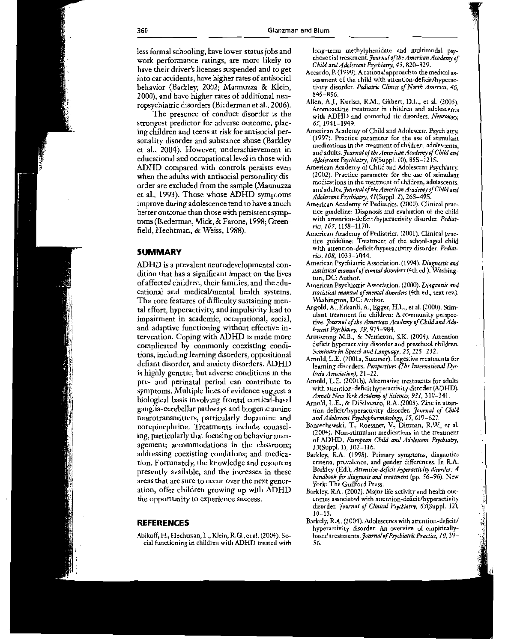less formal schooling, have lower-status jobs and work performance ratings, are more likely to have their driver's licenses suspended and to get into car accidents, have higher rates of antisocial behavior (Barkley, 2002; Mannuzza & Klein, 2000), and have higher rates of additional neuropsychiatric disorders (Biederman et al., 2006).

The presence of conduct disorder is the strongest predictor for adverse outcome, placing children and teens at risk for antisocial personality disorder and substance abuse (Barkley et al., 2004). However, underachievement in educational and occupational level in those with ADHD compared with controls persists even when the adults with antisocial personality disorder are excluded from the sample (Mannuzza et al., 1993). Those whose ADHD symptoms improve during adolescence tend to have a much better outcome than those with persistent symptoms (Biederman, Mick, & Farone, 1998; Greenfield, Hechtman, & Weiss, 1988).

#### **SUMMARY**

ADHD is a prevalent neurodevelopmental condition that has a significant impact on the lives of affected children, their families, and the educational and medical/mental health systems. The core features of difficulty sustaining mental effort, hyperactivity, and impulsivity lead to impairment in academic, occupational, social, and adaptive functioning without effective intervention. Coping with ADHD is made more complicated by commonly coexisting conditions, including learning disorders, oppositional defiant disorder, and anxiety disorders. ADHD is highly genetic, but adversc conditions in the pre- and perinatal period can contribute to symptoms. Multiple lines of evidence suggest a biological basis involving frontal cortical-basal ganglia-cerebellar pathways and biogenic amine neurotransmitters, particularly dopamine and norepinephrine. Treatments include counseling, particularly that focusing on behavior management; accommodations in the classroom; addressing coexisting conditions; and medication. Fortunately, the knowledge and resources presently available, and the increases in these areas that are sure to occur over the next generation, offer children growing up with ADHD the opportunity to experience success.

#### **REFERENCES**

Abikoff, H., Hechtman, L., Klein, R.G., et al. (2004). Social functioning in children with ADHD treated with long-term methylphenidate and multimodal psychosocial treatment. Journal of the American Academy of Child and Adolescent Psychiatry, 43, 820-829.

- Accardo, P. (1999). A rational approach to the medical assessment of the child with attention-deficit/hyperactivity disorder. Pediatric Clinics of North America, 46, 845–856.
- Allen, A.J., Kurlan, R.M., Gilbert, D.L., et al. (2005). Atomoxetine treatment in children and adolescents with ADHD and comorbid tic disorders. Neurology, 65, 1941-1949.
- American Academy of Child and Adolescent Psychiatry, (1997). Practice parameter for the use of stimulant medications in the treatment of children, adolescents, and adults. Journal of the American Academy of Child and Adolescent Psychiatry, 36(Suppl. 10), 85S-121S.
- American Academy of Child and Adolescent Psychiatry. (2002). Practice parameter for the use of stimulant medications in the treatment of children, adolescents, and adults. Journal of the American Academy of Child and Adolescent Psychiatry, 41(Suppl. 2), 26S-49S.
- American Academy of Pediatrics. (2000). Clinical practice guideline: Diagnosis and evaluation of the child with attention-deficit/hyperactivity disorder. Pediatrics, 105, 1158–1170.
- American Academy of Pediatrics. (2001). Clinical practice guideline: Treatment of the school-aged child with attention-deficit/hyperactivity disorder. Pediatrics, 108, 1033–1044.
- American Psychiatric Association. (1994). Diagnostic and statistical manual of mental disorders (4th ed.). Washington, DC: Author.
- American Psychiatric Association. (2000). *Diagnostic and* statistical manual of mental disorders (4th ed., text rev.). Washington, DC: Author.
- Angold, A., Erkanli, A., Egger, H.L., et al. (2000). Stimulant treatment for children: A community perspective. Journal of the American Academy of Child and Adolescent Psychiatry, 39, 975–984.
- Armstrong M.B., & Nettleton, S.K. (2004). Attention deficit hypcractivity disorder and preschool children. Seminars in Speech and Language, 25, 225–232.
- Arnold, L.E. (2001a, Summer). Ingestive treatments for learning disorders. Perspectives (The International Dyslexia Association), 21-22.
- Arnold, L.E. (2001b). Alternative treatments for adults with attention-deficit hyperactivity disorder (ADHD). Annals New York Academy of Sciences, 931, 310–341.
- Arnold, L.E., & DiSilvestro, R.A. (2005). Zinc in attention-deficit/hyperactivity disorder. Journal of Chila and Adolescent Psychopha<del>rm</del>acology, 15, 619–627.
- Banaschewski, T., Roessner, V., Dittman, R.W., et al. (2004). Non-stimulant medications in the treatment of ADHD. European Child and Adolescent Psychiatry, *13*(Suppl. 1), 102–116.
- Barkley, R.A. (1998). Primary symptoms, diagnotics criteria, prevalence, and gender differences. In R.A. Barkley (Ed.), Attention-deficit hyperactivity disorder: A handbook for diagnosis and treatment (pp. 56-96). New York: The Guilford Press.
- Barkley, R.A. (2002). Major life activity and health outcomes associated with attention-deficit/hyperactivity disorder. Journal of Clinical Psychiatry, 63(Suppl. 12),  $10 - 15.$
- Barkely, R.A. (2004). Adolescents with attention-deficit/ hyperactivity disorder: An overview of empiricallybased treatments. *Journal of Psychiatric Practice, 10*, 39– 56.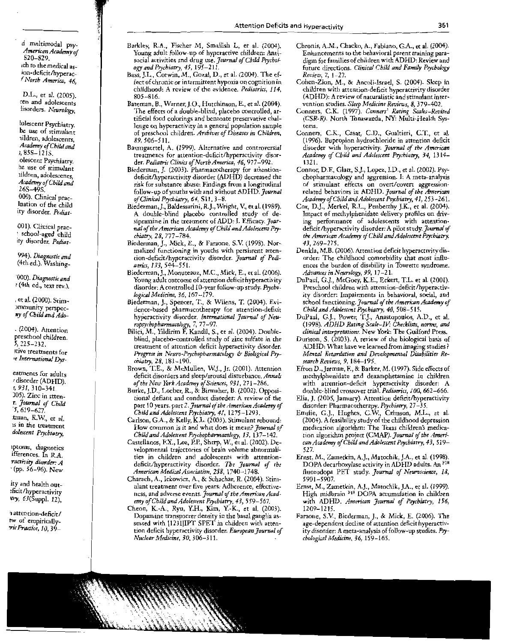d mnltimodal psy-American Academy of 820-829. ieh ro the medical asion-deficit/hyperacf North America, 46,

D.L., et al. (2005). ren and adolescents lisorders. Neurology,

lolescent Psychiatry. he use of stimulant ildren, adolescenrs, Academy of Child and  $, 85S - 121S.$ 

olescent Psychiatry. he use of stimulant iildren, adolescents, Academy of Child and  $26S - 49S$ .

000). Clinical pracluation of the child ity disorder. *Pediat*-

001). Clinical pracschool-aged child ity disorder. Pediat-

994). Diagnostic and (4th ed.). Washing-

'000). Diagnostic and *i* (4th ed., text rev.).

, et al. (2000). Stimommunity perspecny of Child and Ado-

. (2004). Attention preschool children.  $5, 225 - 232.$ stive treatments for e International Dys-

eatments for adults <sup>,</sup> disorder (ADHD). r, 931, 310–341. 005). Zinc in attenr. Journal of Child  $5,619-627$ tman, R.W., et al. is in the treatment dolescent Psychiatry,

iptoms, diagnotics ifferences. In R.A. ractivity disorder. A (pp. 56–96). New

ity and health outeficit/hyperactivity<br>try, 63(Suppl. 12),

attention-deficit/ ew of empiricallyric Practice, 10, 39-

- Barkley, R.A., Fischer M, Smallish L, et al. (2004). Young adult follow-up of hyperactive children: Antisocial activities and drug use. Journal of Child Psychol-
- ogy and Psychiatry, 45, 195-211. Bass, J.L., Corwin, M., Gozal, D., et al. (2004). The effect of chronic or intermittent hypoxia on cognition in childhood: A review of the evidence. Pediatrics, 114, 805-816
- Bateman, B., Warner, J.O., Hutchinson, E., et al. (2004). The effects of a double-blind, placebo controlled, artificial food colorings and benzoate preservative challenge on hyperactivity in a general population sample of preschool children. Archives of Diseases in Children, 89, 506-511.
- Baumgaertel, A. (1999). Alternative and controversial treatments for attention-deficit/hyperactivity disorder. Pediatric Clinics of North America, 46, 977–992.
- Biederman, J. (2003). Pharmacotherapy for attentiondeficit/hyperactivity disorder (ADHD) decreased the risk for substance abuse: Findings from a longitudinal follow-up of youths with and without ADHD. Journal of Clinical Psychiatry, 64, S11, 3-8.
- Biederman, J., Baldessarini, R.J., Wright, V., et al. (1989). A double-blind placebo controlled study of desipramine in the treatment of ADD: I. Efficacy. Journal of the American Academy of Child and Adolescent Psychiatry, 28, 777–784.
- Biederman, J., Mick, E., & Faraone, S.V. (1998). Normalized functioning in youths with persisrent attention-deficit/hyperactivity disorder. Journal of Pediatrics, 133, 544–551.
- Biederman, J., Monuteauz, M.C., Mick, E., et al. (2006). Young adult outcome of attention deficit hyperactivity disorder: A controlled 10-year follow-up study. Psychological Medicine, 36, 167-179.
- Biederman, J., Spencer, T., & Wilens, T. (2004). Evidence-based pharmacotherapy for attention-deficit hyperactivity disorder. International Journal of Neuropsychopharmacology, 7, 77-97.
- Bilici, M., Yildirim F, Kandil, S., et al. (2004). Doubleblind, placebo-controlled study of zinc sulfate in the treatment of attention deficit hyperactivity disorder. Progress in Neuro-Psychopharmacology & Biological Psychiatry, 28, 181-190.
- Brown, T.E., & McMullen, W.J., Jr. (2001). Attention deficit disorders and sleep/arousal disturbance. Annals of the New York Academy of Sciences, 931, 271–286.
- Burke, J.D., Loeber, R., & Birmaher, B. (2002). Oppositional defiant and conduct disorder: A review of the past 10 years, part 2. Journal of the American Academy of Child and Adolescent Psychiatry, 41, 1275–1293.
- Carlson, G.A., & Kelly, K.L. (2003). Stimulant rebound: How common is it and what does it mean? Journal of Child and Adolescent Psychopharmacology, 13, 137–142.
- Castellanos, F.X., Lee, P.P., Sharp, W., et al. (2002). Developmental trajectories of brain volume abnormalities in children and adolescents with attentiondeficit/hyperactivity disorder. The Journal of the American Medical Association, 288, 1740–1748.
- Charach, A., Ickowicz, A., & Schachar, R. (2004). Stimulant treatment over five years: Adherence, effectivencss, and adverse events. Journal of the American Academy of Child and Adolescent Psychiatry, 43, 559–567.
- Cheon, K.-A., Ryu, Y.H., Kim, Y.-K., et al. (2003). Dopamine transporrer density in the basal ganglia assessed with [123I]IPT SPET in children with attention deficit hyperactivity disorder. European Journal of Nuclear Medicine, 30, 306–311.
- Chronis, A.M., Chacko, A., Fabiano, G.A., et al. (2004). Enhancements to the behavioral parent training paradigm for families of children with ADHD: Review and future directions. Clinical Child and Family Psychology Review, 7, 1–27.
- Cohen-Zion, M., & Ancoli-Israel, S. (2004). Sleep in children with attention-deficit hyperactivity disorder (ADHD): A review of naturalistic and stimulant intervention studies. Sleep Medicine Reviews, 8, 379–402.
- Conners, C.K. (1997). Conners' Rating Scales-Revised (CSR-R). North Tonawanda, NY: Multi-Health Systems.
- Conners, C.K., Casat, C.D., Gualtieri, C.T., et al. (1996). Bupropion hydrochloride in attention deficit disorder with hyperactivity. Journal of the American Academy of Child and Adolescent Psychiatry, 34, 1314-1321.
- Connor, D.F., Glatt, S.J., Lopez, I.D., et al. (2002). Psychopharmacology and aggression. I: A meta-analysis of stimulant effects on overt/covert aggressionrelated behaviors in ADHD. Journal of the American Acade<del>my</del> of Child and Adolescent Psychiatry, 41, 253–261.
- Cox, D.J., Merkel, R.L., Penbetthy J.K., et al. (2004). Impact of methylphenidate delivery profiles on driving performance of adolescents with attentiondeficit/hyperactivity disorder: A pilot study. *Journal of* the American Academy of Child and Adolescent Psychiatry, 43, 269–275
- Denkla, M.B. (2006). Attention deficit hyperactivity disorder: The childhood comorbidity that most influences the burden of disability in Tourette syndrome. Advances in Neurology, 99, 17–21.
- DuPaul, G.J., McGoey, K.E., Eckert, T.L. et al. (2001). Preschool children with attention-deficit/hyperactivity disorder: Impairments in behavioral, social, and school functioning. *Journal of the American Academy of* Child and Adolescent Psychiatry, 40, 508–515.
- DuPaul, G.J., Power, T.J., Anastopoulos, A.D., et al. (1998). ADHD Rating Scale-IV: Checklists, norms, and<br>clinical interpretations. New York: The Guilford Press.
- Durston, S. (2003). A review of the biological basis of ADHD: What have we learned from imaging studies ? Mental Retardation and Developmental Disabilities Research Reviews, 9, 184–195.
- Efron D., Jarman, F., & Barker, M. (1997). Side effects of methylphenidate and dexamphetamine in children with atrention-deficit hyperactivity disorder: A donble-blind crossover trial. Pediatrics, 100, 662-666.
- Elia, J. (2005, January). Attention deficit/hyperactivity
- disorder: Pharmacotherapy. Psychiatry, 27-35.<br>Emslie, G.J., Hughes, C.W., Crimson, M.L., et al. (2004). A feasibility study of the childhood depression medication algorithm: The Texas children's medication algorithm project (CMAP). *Journal of the Ameri*can Academy of Child and Adolescent Psychiatry, 43, 519– 527.
- Ernst, M., Zametkin, A.J., Matochik, J.A., et al. (1998). DOPA decarboxylase activity in ADHD adults. An <sup>Fis</sup> fluorodopa PET study. *Journal of Neuroscience*, 18, 5901-5907.
- Ernst, M., Zametkin, A.J., Matochik, J.A., et al. (1999). High midbrain F18 DOPA accumulation in children with ADHD. American Journal of Psychiatry, 156, 1209–1215.
- Faraone, S.V., Biederman, J., & Mick, E. (2006). The age-dependent decline of attention deficit hyperactivity disorder: A meta-analysis of follow-up studies. Psychological Medicine, 36, 159–165.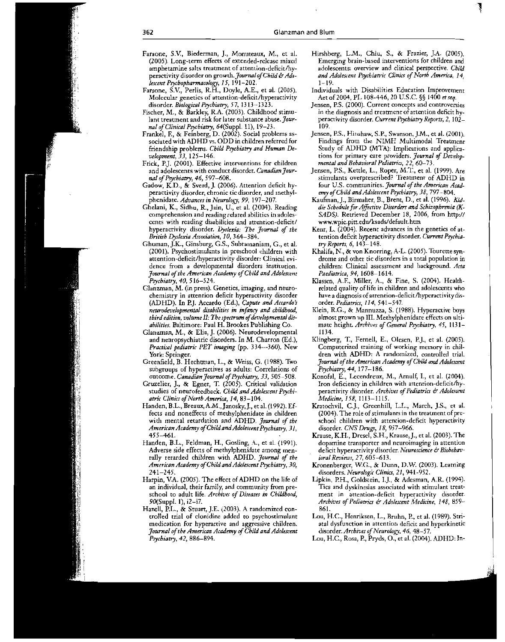- Faraone, S.V., Biederman, J., Monuteaux, M., et al. (2005). Long-term effects of extended-release mixed amphetamine salts treatment of attention-deficit/hyperactivity disorder on growth. *Journal of Child & Ad*olescent Psychopharmacology, 15, 191-202.
- Faraone, S.V., Perlis, R.H., Doyle, A.E., et al. (2005). Molecular genetics of attention-deficit/hyperactivity disorder. Biological Psychiatry, 57, 1313-1323.
- Fischer, M., & Barkley, R.A. (2003). Childhood stimulant treatment and risk for later substance abuse. Journal of Clinical Psychiatry, 64(Suppl. 11), 19–23
- Frankel, F., & Feinberg, D. (2002). Social problems associated with ADHD vs. ODD in children referred for friendship problems. Child Psychiatry and Human Development, 33, 125–146.
- Frick, P.J. (2001). Effective interventions for children and adolescents with conduct disorder. Canadian Journal of Psychiatry, 46, 597–608.
- Gadow, K.D., & Sverd, J. (2006). Attention deficit hyperactivity disorder, chronic tic disorder, and methylphenidate. *Advances in Neurology*, 99, 197–207.
- Ghelani, K., Sidhu, R., Jain, U., et al. (2004). Reading comprehension and reading related abilities in adolescents with reading disabilities and attention-deficit/ hyperacrivity disorder. Dyslexia: The Journal of the British Dyslexia Association, 10, 364–384.
- Ghuman, J.K., Ginsburg, G.S., Subramaniam, G., et al. (2001). Psychostimulants in preschool children with attention-deficit/hyperactivity disorder: Clinical evidence from a developmental disorders institution. Journal of the American Academy of Child and Adolescent Psychiatry, 40, 516–524.
- Glanzman, M. (in press). Genetics, imaging, and neurochemistry in attention deficir hyperactivity disorder (ADHD). In P.J. Accardo (Ed.), Capute and Accardo's neurodevelopmental disabilities in infancy and childhood, third edition, volume II: The spectrum of developmental disabilities. Baltimore: Paul H. Brookes Publishing Co.
- Glanzman, M., & Elia, J. (2006). Neurodevelopmental and neuropsychiatric disorders. In M. Charron (Ed.), Practical pediatric PET imaging (pp. 334—360). New York: Springer.
- Greenfield, B. Hechtman, L., & Weiss, G. (1988). Two subgroups of hyperactives as adults: Correlations of outcome. Canadian Journal of Psychiatry, 33, 505-508.
- Gruzelier, J., & Egner, T. (2005). Critical validation studies of neurofeedback. Child and Adolescent Psychiatric Clinics of North America, 14, 83–104.
- Handen, B.L., Breaux, A.M., Janosky, J., et al. (1992). Effects and noneffects of methylphenidate in children with mental retardation and ADHD. *Journal of the* American Academy of Child and Adolescent Psychiatry, 31, 455–461.
- Handen, B.L., Feldman, H., Gosling, A., et al. (1991). Adverse side effects of methylphenidate among menrally rerarded children with ADHD. Journal of the American Academy of Child and Adolescent Psychiatry, 30,  $241 - 245.$
- Harpin, V.A. (2005). The effect of ADHD on the life of an individual, their family, and community from preschool to adult life. Archives of Diseases in Childhood, 90(Suppl. 1), i2–i7.
- Hazell, P.L., & Stuart, J.E. (2003). A randomized controlled trial of clonidine added to psychostimulant medication for hyperactive and aggressive children. Journal of the American Academy of Child and Adolescent Psychiatry, 42, 886–894.
- Hirshberg, L.M., Chiu, S., & Frazier, J.A. (2005). Emerging brain-based interventions for children and adolescents: overview and clinical perspective. Child and Adolescent Psychiatric Clinics of North America, 14,  $1 - 19.$
- Individuals with Disabilities Education Improvement Aet of 2004, PL 108-446, 20 U.S.C. §§ 1400 et seq.
- Jensen, P.S. (2000). Current concepts and controversies in the diagnosis and treatment of artention deficit hyperactivity disorder. Current Psychiatry Reports, 2, 102-109.
- Jensen, P.S., Hinshaw, S.P., Swanson, J.M., et al. (2001). Findings from the NIMH Multimodal Treatment Study of ADHD (MTA): Implications and applications for primary care providers. Journal of Developmental and Behavioral Pediatrics, 22, 60-73.
- Jensen, P.S., Kettle, L., Roper, M.T., et al. (1999). Are stimulants overprescribed? Treatment of ADHD in four U.S. communities. Journal of the American Acaderny of Child and Adolescent Psychiatry, 38, 797-804.
- Kaufinan, J., Birmaher, B., Brent, D., et al. (1996). *Kid*die Schedule for Affective Disorders and Schizophrenia (K-SADS). Retrieved December 18, 2006, from http:// www.wpic.pitt.edu/ksads/default.htm
- Kent, L. (2004). Recent advances in the genetics of attention deficit hyperactivity disorder. *Cur<del>ren</del>t Psychia*try Reports, 6, 143-148.
- Khalifa, N., & von Knorring, A-L. (2005). Tourette syndrome and other tic disorders in a total population in children: Clinical assessment and background. Acta Paediatrica, 94, 1608–1614.
- Klassen, A.F., Miller, A., & Fine, S. (2004). Healthrelated quality of life in children and adolescents who have a diagnosis of attention-deficit/hyperactivity disorder. *Pediatrics, 114*, 541–547
- Klein, R.G., & Mannuzza, S. (1988). Hyperactive boys almost grown up III. Methylphenidare effects on ultimate height. Archives of General Psychiatry, 45, 1131-1134.
- Klingberg, T., Fernell, E., Olesen, P.J., et al. (2005). Computerized training of working memory in children with ADHD: A randomized, controlled trial. Journal of the American Academy of Child and Adolescent Psychiatry, 44, 177–186.
- Konofal, E., Lecendreux, M., Arnulf, I., et al. (2004). Iron deficiency in children with attenrion-deficit/hyperactivity disorder. Archives of Pediatrics & Adolescent Medicine, 158, 1113–1115.
- Kratochvil, C.J., Greenhill, L.L., March, J.S., et al. (2004). The role of stimulants in the treatment of preschool children with attention-deficit hyperactivity disorder. CNS Drugs, 18, 957-966.
- Krause, K.H., Dresel, S.H., Krause, J., et al. (2003). The dopamine transporter and neuroimaging in attention deficit hyperacrivity disorder. *Neuroscience & Biobeba*vioral Reviews, 27, 605–613.
- Kronenberger, W.G., & Dunn, D.W. (2003). Learning disorders. Neurologic Clinics, 21, 941-952.
- Lipkin, P.H., Goldstein, I.J., & Adesman, A.R. (1994). Tics and dyskinesias associated with stimulant treatment in attention-deficit hyperactivity disorder. Archives of Pediatrics & Adolescent Medicine, 148, 859-861.
- Lou, H.C., Henriksen, L., Bruhn, P., et al. (1989). Striatal dysfunction in attention deficit and hyperkinetic disorder. Archives of Neurology, 46, 48-57. Lou, H.C., Rosa, P., Pryds, O., et al. (2004). ADHD: In-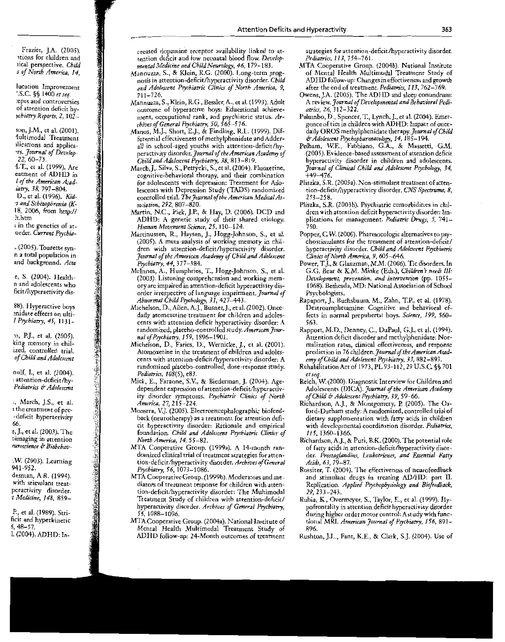Frazier, J.A. (2005). ntions for children and tical perspective. Child s of North America, 14,

lucatiou Improvement S.C. §§ 1400 et seq. epts aud controversies of attention deficit hyychiatry Reports, 2, 102–

son, J.M., et al. (2001). Iultimodal Treatment dications and applicars. Journal of Develop-22, 60-73.

1.T., et al. (1999). Are eatment of ADHD in of the American Acadiatry, 38, 797–804.

D., et al. (1996). Kids and Schizophrenia (K-18, 2006, from http:// lt.htm

in the genetics of atorder. Current Psychia-

. (2005). Tourette synn a total population in and background. Acta

e, S. (2004). Healthn and adolescents who ficit/hyperactivity dis-

88). Hyperactive boys midate effecrs on ulti-1 Psychiatry, 45, 1131-

.n, P.J., et al. (2005). king memory in chilized, controlled trial. of Child and Adolescent

nulf, I., et al. (2004). attention-deficit/hy-Pediatrics & Adolescent

., March, J.S., et al. i the treatment of pre--deficit hyperactivity 66.

e, J., et al. (2003). The oimaging in attention euroscience & Biobehav-

W.  $(2003)$ . Learning 941-952.

desman, A.R. (1994). with stimulant treatperactivity disorder. t Medicine, 148, 859–

P., et al. (1989). Strificit and hyperkineric 6, 48–57. l. (2004). ADHD: Increased dopamine receptor availability linked to attention deficit aud low neonatal blood flow. Developmental Medicine and Child Neurology, 46, 179–183.

- Mannuzza, S., & Klein, R.G. (2000). Long-term prognosis in attention-deficit/hyperactivity disorder. Child and Adolescent Psychiatric Clinics of North America, 9, 711–726.
- Mannuzza, S., Klein, R.G., Bessler, A., et al. (1993). Adult outcome of hyperactive boys: Educational achievement, occupational rank, and psychiatric status. Archives of General Psychiatry, 50, 565–576.
- Manos, M.J., Short, E.J., & Findling, R.L. (1999). Differential effectiveness of methylphenidate and Adderall in school-aged youths with attentiou-deficit/hyperactivity disorder. Journal of the American Academy of Child and Adolescent Psychiatry, 38, 813–819.
- March, J. Silva, S., Petrycki, S., et al. (2004). Fluoxetine, cognitive-behavioral therapy, and their combination for adolescents with depression: Treatment for Adolescents with Depression Study (TADS) randomized controlled trial. *The Journal of the American Medical As*sociation, 292, 807–820.
- Martin, N.C., Piek, J.P., & Hay, D. (2006). DCD and ADHD: A genetic study of their shared etiology. Human Movement Science, 25, 110–124.
- Martinussen, R., Haysen, J., Hogg-Johnson, S., et al. (2005). A meta-analysis of working memory in children with attention-deficit/hyperactivity disorder. Journal of the American Academy of Child and Adolescent Psychiatry, 44, 377–384.
- McInnes, A., Humphries, T., Hogg-Johnson, S., et al. (2003). Listening comprehension and working memory are impaired in attention-deficit hyperactivity disorder irrespective of language impairment. *Journal of* Abnormal Child Psychology, 31, 427–443.
- Michelson, D., Allen, A.J., Busner, J., et al. (2002). Oncedaily atomexetine treatment for children and adolescents with attention deficit hyperactivity disorder: A randomized, placeho-controlled study. *American Jour*nal of Psychiatry, 159, 1896–1901.
- Michelson, D., Faries, D., Wernicke, J., et al. (2001). Atomoxetine in the treatment of ehildren and adolescents with attention-deficit/hyperactivity disorder: A randomized placebo-controlled, dose-response study. *Pediatrics, 108*(5), e83.
- Mick, E., Faraone, S.V., & Biederman, J. (2004). Agedependent expression of attention-deficit/hyperactivity disorder symptoms. *Psychiatric Clinics of North* America, 27, 215-224.
- Monstra, V.J. (2005). Electroencephalographic biofeedback (neurotherapy) as a treatment for atteution deficit hyperactivity disorder: Rationale and empirical foundation. Child and Adolescent Psychiatric Clinics of North America, 14, 55–82.
- MTA Cooperative Group. (1999a). A 14-month randomized clinical trial of treatment strategies for attention-deficir/hyperactivity disorder. *Archives of General* Psychiatry, 56, 1073–1086.
- MTA Cooperative Group. (1999b). Moderators and mediators of treatment response for children with attention-deficit/hyperactivity disorder: The Multimodal Treatment Study of children with artention-deficit/ hyperactivity disorder. Archives of General Psychiatry, 56, 1088–1096.
- MTA Cooperative Group. (2004a). National Institute of Mental Health Multimodal Treatment Study of ADHD follow-up: 24-Month outcomes of treatment

strategies for attention-deficit/hyperactivity disorder. Pediatrics, 113, 754–761.

- MTA Cooperative Group. (2004b). National Institute of Mental Health Multimodal Treatmenr Study of ADHD follow-up: Changes in effectiveness and growth after the end of treatment. Pediatrics, 113, 762-769.
- Owens, J.A. (2005). The ADHD and sleep conundrum: A review. Journal of Developmental and Behavioral Pediatrics, 26, 312–322.
- Palumbo, D., Spencer, T., Lynch, J., et al. (2004). Emergence of tics in children with ADHD: Impact of oucedaily OROS methylphenidate therapy. Journal of Child & Adolescent Psychopharmacology, 14, 185–194.
- Pelham, W.E., Fabbiano, G.A., & Massetti, G.M. (2005). Evidence-based assessment of attention deficit byperactivity disorder in children and adolescents. Journal of Clinical Child and Adolescent Psychology, 34, 449–476.
- Pliszka, S.R. (2003a). Non-stimulant treatment of attention-deficit/hyperactivity disorder. CNS Spectrums, 8, 253–258.
- Pliszka, S.R. (2003b). Psychiatric comorbidities in children with attention deficit hyperactivity disorder: Implications for management. Pediatric Drugs, 5, 741-750.
- Popper, C.W. (2000). Pharmocologic alternatives to psychostinulants for the treatment of attention-deficit/ hyperactivity disorder. Child and Adolescent Psychiatric Clinics of North America, 9, 605–646.
- Power, T.J., & Glanzman, M.M. (2006). Tic disorders. In G.G. Bear & K.M. Minke (Eds.), Children's needs III: Development, prevention, and intervention (pp. 1055– 1068). Bethesda, MD: National Association of School Psycbologists.
- Rapaport, J., Buchsbaum, M., Zahn, T.P., et al. (1978). Dextroamphetamine: Cognitive and behavioral effects in normal prepubertal boys. *Science, 199, 56*0– 563.
- Rapport, M.D., Denney, C., DuPaul, G.J., et al. (1994). Attention deficit disorder and methylphenidate: Normalization rates, clinical effectiveness, and response prediction in 76 children. Journal of the American Academy of Child and Adolescent Psychiatry, 33, 882–893.
- Rehabilitation Act of 1973, PL 93-112, 29 U.S.C. §§ 701 et seq.
- Reich, W. (2000). Diagnostic Interview for Children and Adolescents (DICA). Journal of the American Academy of Child & Adolescent Psychiatry, 39, 59–66.
- Richardson, A.J., & Montgomery, P. (2005). The Oxford-Durham study: A randomized, controlled trial of dietary supplementation with fatty acids in children with developmental coordination disorder. *Pediatrics*, 115, 1360–1366.
- Richardson, A.J., & Puri, B.K. (2000). The potential role of fatty acids in attention-deficit/hyperactivity disorder. Prostaglandins, Leukotrienes, and Essential Fatty Acids, 63, 79-87.
- Rossiter, T. (2004). The effectiveness of neurofeedbaek and stimulant drugs in treating AD/HD: part II. Replication. Applied Psychophysiology and Biofeedback, 29, 233–243.
- Rubia, K., Overmeyer, S., Taylor, E., et al. (1999). Hypofrontality in attention deficit hyperactivity disorder during higher order motor control: A study with functional MRI. American Journal of Psychiatry, 156, 891-896.
- Rushton, J.L., Fant, K.E., & Clark, S.J. (2004). Use of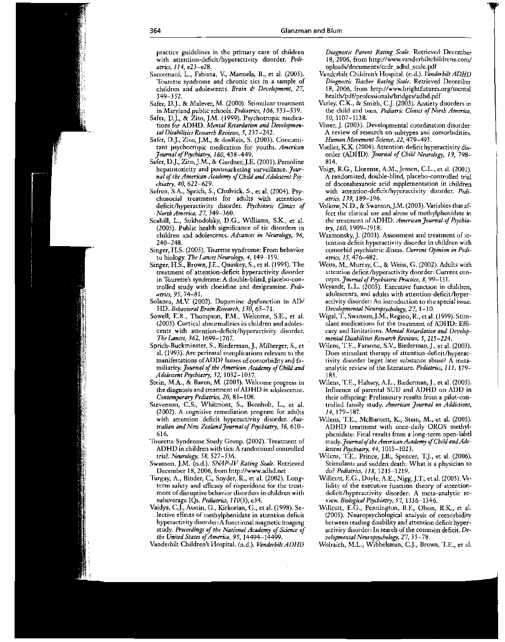practice guidelines in the primary care of children with attention-deficit/hyperactivity disorder. Pediatrics, 114, e23-e28.

- Saccomani, L., Fabiana, V., Manuela, B., et al. (2005). Tourette syndrome and chronic tics in a sample of children and adolescents. Brain & Development, 27, 349–352
- Safer, D.J., & Malever, M. (2000). Stimulant treatment in Maryland public schools. Pediatrics, 106, 533–539.
- Safer, D.J., & Zito, J.M. (1999). Psychotropic medications for ADHD. Mental Retardation and Developmental Disabilities Research Reviews, 5, 237–242.
- Safer, D.J., Zito, J.M., & dosReis, S. (2003). Concomitant psychorropic medication for youths. American Journal of Psychiatry, 160, 438–449.
- Safer, D.J., Zito, J.M., & Gardner, J.E. (2001). Pemoline hepatotoxicity and postmarketing surveillance. Journal of the American Academy of Child and Adolescent Psychiatry, 40, 622-629.
- Safren, S.A., Sprich, S., Chulvick, S., et al. (2004). Psychosocial treatments for adults with attentiondeficit/hyperactivity disorder. Psychiatric Clinics of North America, 27, 349-360.
- Scahill, L., Sukhodolsky, D.G., Williams, S.K., et al. (2005). Public health significance of tic disorders in children and adolescents. *Advances in Neurology*, 96, 240-248.
- Singer, H.S. (2005). Tourette syndrome: From behavior to biology. The Lancet Neurology, 4, 149-159.
- Singer, H.S., Brown, J.E., Quaskey, S., et al. (1995). The treatment of attention-deficit hyperactivity disorder in Touretre's syndrome: A double-blind, placebo-controlled study with clonidine and desipramine. Pediatrics, 95, 74–81.
- Solanto, M.V. (2002). Dopamine dysfunction in AD/ HD. Behavioral Brain Research, 130, 65-71.
- Sowell, E.R., Thompson, P.M., Welcome, S.E., et al. (2003). Cortical abnormalities in children and adolescents with attention-deficit/hyperactivity disorder. The Lancet, 362, 1699-1707.
- Sprich-Buckminster, S., Biederman, J., Milberger, S., et al. (1993). Are perinatal complications relevant to the manifestations of ADD? Issues of comorbidity and familiarity. Journal of the American Academy of Child and Adolescent Psychiatry, 32, 1032-1037.
- Stein, M.A., & Baren, M. (2003). Welcome progress in the diagnosis and treatment of ADHD in adolescence. Contemporary Pediatrics, 20, 83–108.
- Stevenson, C.S., Whitmont, S., Bornholt, L., et al. (2002). A cognitive remediation program for adults with attention deficit hyperactivity disorder. Australian and New Zealand Journal of Psychiatry, 36, 610-616.
- Tourette Syndrome Study Group. (2002). Treatment of ADHD in children with tics: A randomized controlled trial. Neurology, 58, 527-536.
- Swanson, J.M. (n.d.). SNAP-IV Rating Scale. Retrieved December 18, 2006, from http://www.adhd.net
- Turgay, A., Binder, C., Snyder, R., et al. (2002). Longterm safety and efficacy of risperidone for the treatment of disruptive behavior disorders in children with subaverage IQs. Pediatrics, 110(3), e34.
- Vaidya, C.J., Austin, G., Kirkorian, G., et al. (1998). Selective effects of methylphenidate in attention deficit hyperactivity disorder: A functional magnetic imaging study. Proceedings of the National Academy of Science of the United States of America, 95, 14494-14499.

Vanderbilt Children's Hospital. (n.d.). *Vanderbilt ADHD* 

Diagnostic Parent Rating Scale. Retrieved December 18, 2006, from http://www.vanderbiltchildrens.com/ uploads/documents/ccdr\_adhd\_scale.pdf

- Vandcrbilt Children's Hospital. (n.d.). *Vanderbilt ADHD* Diagnostic Teacher Rating Scale. Retrieved December 18, 2006, from hrtp://www.brightfutures.org/mental health/pdf/professionals/bridges/adhd.pdf
- Varley, C.K., & Smith, C.J. (2003). Anxiety disorders in the child and teen. Pediatric Clinics of North America, 50, 1107-1138.
- Visser, J. (2003). Developmental coordination disorder: A review of research on subtypes and comorbidities. Human Movement Science, 22, 479–493.
- Voeller, K.K. (2004). Attention-deficit hyperactivity disorder (ADHD). Journal of Child Neurology, 19, 798-814.
- Voigt, R.G., Llorente, A.M., Jensen, C.L., et al. (2001). A randomized, double-blind, placebo-controlled trial of docosahexanoic acid supplementation in children with attention-deficit/hyperactivity disorder. *Pedi*atrics, 139, 189–196.
- Volkow, N.D., & Swanson, J.M. (2003). Variables that affect the clinical use and abuse of methylphenidate in the treatment of ADHD. American Journal of Psychiatry, 160, 1909-1918.
- Waxmonsky, J. (2003). Assessment and treatment of attention deficit hyperactivity disorder in children with comorbid psychiatric illness. *Current Opinion in Pedi*atrics, 15, 476–482.
- Weiss, M., Murray, C., & Weiss, G. (2002). Adults with attention deficit/hyperactivity disorder: Current concepts. Journal of Psychiatric Practice, 8, 99–111.
- Weyandt, L.L. (2005). Executive function in ehildren, adolescenrs, and adults with attention-deficit/hyperactivity disorder: An introduction to the special issue. Developmental Neuropsychology, 27, 1–10.
- Wigal, T., Swanson, J.M., Regino, R., et al. (1999). Stimulant medications for the treatment of ADHD: Efficacy and limitations. *Mental Retardation and Develop*mental Disabilities Research Reviews, 5, 215–224.
- Wilens, T.E., Faraone, S.V., Biederman, J., et al. (2003). Does stimulant therapy of attention-deficit/hyperactivity disorder beget later substance abuse? A metaanalytic review of the literature. *Pediatrics*, 111, 179– 185.
- Wilens, T.E., Hahsey, A.L., Biederman, J., et al. (2005). Influence of parental SUD and ADHD on ADD in their offspring: Preliminary results from a pilot-controlled family study. *American Journal on Addictions*, 14, 179-187.
- Wilens, T.E., McBurnett, K., Stein, M., et al. (2005). ADHD treatment with once-daily OROS methylphenidate: Final results from a long-term open-label study. Journal of the American Academy of Child and Adolescent Psychiatry, 44, 1015–1023.
- Wilcns, T.E., Prince, J.B., Spencer, T.J., et al. (2006). Stimulants and sudden death: What is a physician to do? Pediatrics, 118, 1215-1219.
- Willeutt, E.G., Doyle, A.E., Nigg, J.T., et al. (2005). Validity of the executive function theory of attentiondeficit/hyperactivity disorder: A mcta-analytic review. *Biological Psychiatry, 57,* 1336–1346.
- Willcutt, E.G., Pennington, B.F., Olson, R.K., et al. (2005). Neuropsychological analysis of comorbidity between reading disability and attention deficit hyperactiviry disorder: In search of the common deficit. *De*velopmental Neuropsychology, 27, 35–78.
- Wolraich, M.L., Wibbelsman, C.J., Brown, T.E., et al.